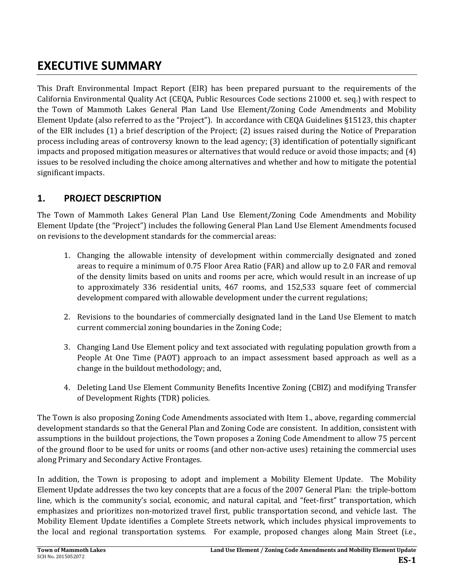# **EXECUTIVE SUMMARY**

This Draft Environmental Impact Report (EIR) has been prepared pursuant to the requirements of the California Environmental Quality Act (CEQA, Public Resources Code sections 21000 et. seq.) with respect to the Town of Mammoth Lakes General Plan Land Use Element/Zoning Code Amendments and Mobility Element Update (also referred to as the "Project"). In accordance with CEQA Guidelines §15123, this chapter of the EIR includes (1) a brief description of the Project; (2) issues raised during the Notice of Preparation process including areas of controversy known to the lead agency; (3) identification of potentially significant impacts and proposed mitigation measures or alternatives that would reduce or avoid those impacts; and (4) issues to be resolved including the choice among alternatives and whether and how to mitigate the potential significant impacts.

# **1. PROJECT DESCRIPTION**

The Town of Mammoth Lakes General Plan Land Use Element/Zoning Code Amendments and Mobility Element Update (the "Project") includes the following General Plan Land Use Element Amendments focused on revisions to the development standards for the commercial areas:

- 1. Changing the allowable intensity of development within commercially designated and zoned areas to require a minimum of 0.75 Floor Area Ratio (FAR) and allow up to 2.0 FAR and removal of the density limits based on units and rooms per acre, which would result in an increase of up to approximately 336 residential units, 467 rooms, and 152,533 square feet of commercial development compared with allowable development under the current regulations;
- 2. Revisions to the boundaries of commercially designated land in the Land Use Element to match current commercial zoning boundaries in the Zoning Code;
- 3. Changing Land Use Element policy and text associated with regulating population growth from a People At One Time (PAOT) approach to an impact assessment based approach as well as a change in the buildout methodology; and,
- 4. Deleting Land Use Element Community Benefits Incentive Zoning (CBIZ) and modifying Transfer of Development Rights (TDR) policies.

The Town is also proposing Zoning Code Amendments associated with Item 1., above, regarding commercial development standards so that the General Plan and Zoning Code are consistent. In addition, consistent with assumptions in the buildout projections, the Town proposes a Zoning Code Amendment to allow 75 percent of the ground floor to be used for units or rooms (and other non-active uses) retaining the commercial uses along Primary and Secondary Active Frontages.

In addition, the Town is proposing to adopt and implement a Mobility Element Update. The Mobility Element Update addresses the two key concepts that are a focus of the 2007 General Plan: the triple-bottom line, which is the community's social, economic, and natural capital, and "feet-first" transportation, which emphasizes and prioritizes non-motorized travel first, public transportation second, and vehicle last. The Mobility Element Update identifies a Complete Streets network, which includes physical improvements to the local and regional transportation systems. For example, proposed changes along Main Street (i.e.,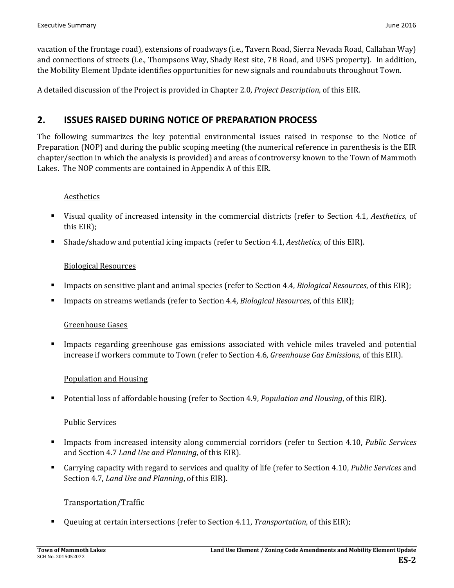vacation of the frontage road), extensions of roadways (i.e., Tavern Road, Sierra Nevada Road, Callahan Way) and connections of streets (i.e., Thompsons Way, Shady Rest site, 7B Road, and USFS property). In addition, the Mobility Element Update identifies opportunities for new signals and roundabouts throughout Town.

A detailed discussion of the Project is provided in Chapter 2.0, *Project Description*, of this EIR.

# **2. ISSUES RAISED DURING NOTICE OF PREPARATION PROCESS**

The following summarizes the key potential environmental issues raised in response to the Notice of Preparation (NOP) and during the public scoping meeting (the numerical reference in parenthesis is the EIR chapter/section in which the analysis is provided) and areas of controversy known to the Town of Mammoth Lakes. The NOP comments are contained in Appendix A of this EIR.

### Aesthetics

- Visual quality of increased intensity in the commercial districts (refer to Section 4.1, *Aesthetics,* of this EIR);
- Shade/shadow and potential icing impacts (refer to Section 4.1, *Aesthetics,* of this EIR).

#### Biological Resources

- Impacts on sensitive plant and animal species (refer to Section 4.4, *Biological Resources*, of this EIR);
- Impacts on streams wetlands (refer to Section 4.4, *Biological Resources*, of this EIR);

#### Greenhouse Gases

 Impacts regarding greenhouse gas emissions associated with vehicle miles traveled and potential increase if workers commute to Town (refer to Section 4.6, *Greenhouse Gas Emissions*, of this EIR).

### Population and Housing

■ Potential loss of affordable housing (refer to Section 4.9, *Population and Housing*, of this EIR).

#### Public Services

- Impacts from increased intensity along commercial corridors (refer to Section 4.10, *Public Services*  and Section 4.7 *Land Use and Planning*, of this EIR).
- Carrying capacity with regard to services and quality of life (refer to Section 4.10, *Public Services* and Section 4.7, *Land Use and Planning*, of this EIR).

### Transportation/Traffic

Queuing at certain intersections (refer to Section 4.11, *Transportation*, of this EIR);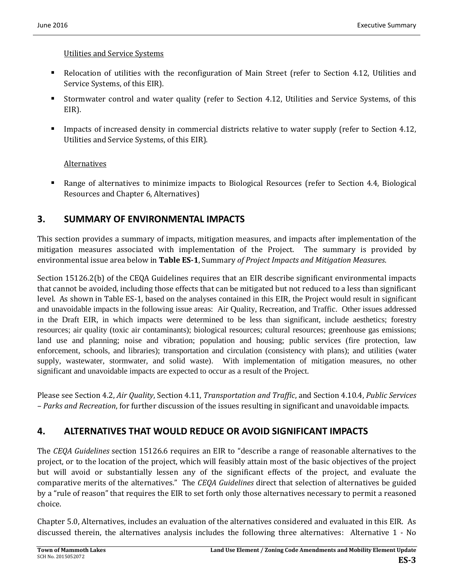### Utilities and Service Systems

- Relocation of utilities with the reconfiguration of Main Street (refer to Section 4.12, Utilities and Service Systems, of this EIR).
- Stormwater control and water quality (refer to Section 4.12, Utilities and Service Systems, of this EIR).
- **IMPACER 1.13** Impacts of increased density in commercial districts relative to water supply (refer to Section 4.12, Utilities and Service Systems, of this EIR).

# **Alternatives**

 Range of alternatives to minimize impacts to Biological Resources (refer to Section 4.4, Biological Resources and Chapter 6, Alternatives)

# **3. SUMMARY OF ENVIRONMENTAL IMPACTS**

This section provides a summary of impacts, mitigation measures, and impacts after implementation of the mitigation measures associated with implementation of the Project. The summary is provided by environmental issue area below in **Table ES-1**, Summary *of Project Impacts and Mitigation Measures*.

Section 15126.2(b) of the CEQA Guidelines requires that an EIR describe significant environmental impacts that cannot be avoided, including those effects that can be mitigated but not reduced to a less than significant level. As shown in Table ES-1, based on the analyses contained in this EIR, the Project would result in significant and unavoidable impacts in the following issue areas: Air Quality, Recreation, and Traffic. Other issues addressed in the Draft EIR, in which impacts were determined to be less than significant, include aesthetics; forestry resources; air quality (toxic air contaminants); biological resources; cultural resources; greenhouse gas emissions; land use and planning; noise and vibration; population and housing; public services (fire protection, law enforcement, schools, and libraries); transportation and circulation (consistency with plans); and utilities (water supply, wastewater, stormwater, and solid waste). With implementation of mitigation measures, no other significant and unavoidable impacts are expected to occur as a result of the Project.

Please see Section 4.2, *Air Quality*, Section 4.11, *Transportation and Traffic*, and Section 4.10.4, *Public Services – Parks and Recreation*, for further discussion of the issues resulting in significant and unavoidable impacts.

# **4. ALTERNATIVES THAT WOULD REDUCE OR AVOID SIGNIFICANT IMPACTS**

The *CEQA Guidelines* section 15126.6 requires an EIR to "describe a range of reasonable alternatives to the project, or to the location of the project, which will feasibly attain most of the basic objectives of the project but will avoid or substantially lessen any of the significant effects of the project, and evaluate the comparative merits of the alternatives." The *CEQA Guidelines* direct that selection of alternatives be guided by a "rule of reason" that requires the EIR to set forth only those alternatives necessary to permit a reasoned choice.

Chapter 5.0, Alternatives, includes an evaluation of the alternatives considered and evaluated in this EIR. As discussed therein, the alternatives analysis includes the following three alternatives: Alternative 1 - No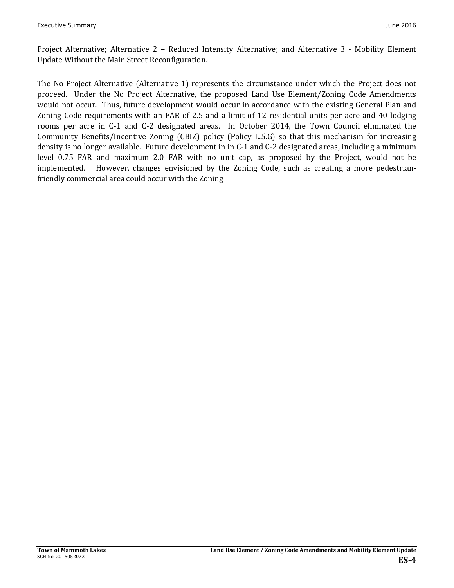Project Alternative; Alternative 2 – Reduced Intensity Alternative; and Alternative 3 - Mobility Element Update Without the Main Street Reconfiguration.

The No Project Alternative (Alternative 1) represents the circumstance under which the Project does not proceed. Under the No Project Alternative, the proposed Land Use Element/Zoning Code Amendments would not occur. Thus, future development would occur in accordance with the existing General Plan and Zoning Code requirements with an FAR of 2.5 and a limit of 12 residential units per acre and 40 lodging rooms per acre in C-1 and C-2 designated areas. In October 2014, the Town Council eliminated the Community Benefits/Incentive Zoning (CBIZ) policy (Policy L.5.G) so that this mechanism for increasing density is no longer available. Future development in in C-1 and C-2 designated areas, including a minimum level 0.75 FAR and maximum 2.0 FAR with no unit cap, as proposed by the Project, would not be implemented. However, changes envisioned by the Zoning Code, such as creating a more pedestrianfriendly commercial area could occur with the Zoning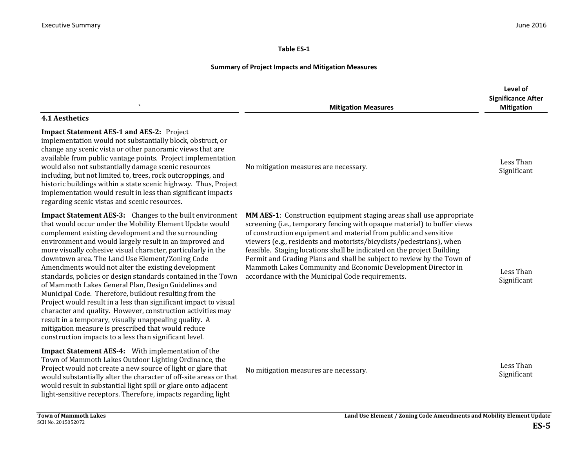#### **Table ES‐1**

# **Summary of Project Impacts and Mitigation Measures**

|                                                                                                                                                                                                                                                                                                                                                                                                                                                                                                                                                                                                                                                                                                                                                                                                                                                                                                                         | <b>Mitigation Measures</b>                                                                                                                                                                                                                                                                                                                                                                                                                                                                                                                                           | Level of<br><b>Significance After</b><br><b>Mitigation</b> |
|-------------------------------------------------------------------------------------------------------------------------------------------------------------------------------------------------------------------------------------------------------------------------------------------------------------------------------------------------------------------------------------------------------------------------------------------------------------------------------------------------------------------------------------------------------------------------------------------------------------------------------------------------------------------------------------------------------------------------------------------------------------------------------------------------------------------------------------------------------------------------------------------------------------------------|----------------------------------------------------------------------------------------------------------------------------------------------------------------------------------------------------------------------------------------------------------------------------------------------------------------------------------------------------------------------------------------------------------------------------------------------------------------------------------------------------------------------------------------------------------------------|------------------------------------------------------------|
| <b>4.1 Aesthetics</b>                                                                                                                                                                                                                                                                                                                                                                                                                                                                                                                                                                                                                                                                                                                                                                                                                                                                                                   |                                                                                                                                                                                                                                                                                                                                                                                                                                                                                                                                                                      |                                                            |
| <b>Impact Statement AES-1 and AES-2: Project</b><br>implementation would not substantially block, obstruct, or<br>change any scenic vista or other panoramic views that are<br>available from public vantage points. Project implementation<br>would also not substantially damage scenic resources<br>including, but not limited to, trees, rock outcroppings, and<br>historic buildings within a state scenic highway. Thus, Project<br>implementation would result in less than significant impacts<br>regarding scenic vistas and scenic resources.                                                                                                                                                                                                                                                                                                                                                                 | No mitigation measures are necessary.                                                                                                                                                                                                                                                                                                                                                                                                                                                                                                                                | Less Than<br>Significant                                   |
| <b>Impact Statement AES-3:</b> Changes to the built environment<br>that would occur under the Mobility Element Update would<br>complement existing development and the surrounding<br>environment and would largely result in an improved and<br>more visually cohesive visual character, particularly in the<br>downtown area. The Land Use Element/Zoning Code<br>Amendments would not alter the existing development<br>standards, policies or design standards contained in the Town<br>of Mammoth Lakes General Plan, Design Guidelines and<br>Municipal Code. Therefore, buildout resulting from the<br>Project would result in a less than significant impact to visual<br>character and quality. However, construction activities may<br>result in a temporary, visually unappealing quality. A<br>mitigation measure is prescribed that would reduce<br>construction impacts to a less than significant level. | MM AES-1: Construction equipment staging areas shall use appropriate<br>screening (i.e., temporary fencing with opaque material) to buffer views<br>of construction equipment and material from public and sensitive<br>viewers (e.g., residents and motorists/bicyclists/pedestrians), when<br>feasible. Staging locations shall be indicated on the project Building<br>Permit and Grading Plans and shall be subject to review by the Town of<br>Mammoth Lakes Community and Economic Development Director in<br>accordance with the Municipal Code requirements. | Less Than<br>Significant                                   |
| Impact Statement AES-4: With implementation of the<br>Town of Mammoth Lakes Outdoor Lighting Ordinance, the<br>Project would not create a new source of light or glare that<br>would substantially alter the character of off-site areas or that<br>would result in substantial light spill or glare onto adjacent<br>light-sensitive receptors. Therefore, impacts regarding light                                                                                                                                                                                                                                                                                                                                                                                                                                                                                                                                     | No mitigation measures are necessary.                                                                                                                                                                                                                                                                                                                                                                                                                                                                                                                                | Less Than<br>Significant                                   |
| <b>Town of Mammoth Lakes</b>                                                                                                                                                                                                                                                                                                                                                                                                                                                                                                                                                                                                                                                                                                                                                                                                                                                                                            | Land Use Element / Zoning Code Amendments and Mobility Element Update                                                                                                                                                                                                                                                                                                                                                                                                                                                                                                |                                                            |

SCH No. 2015052072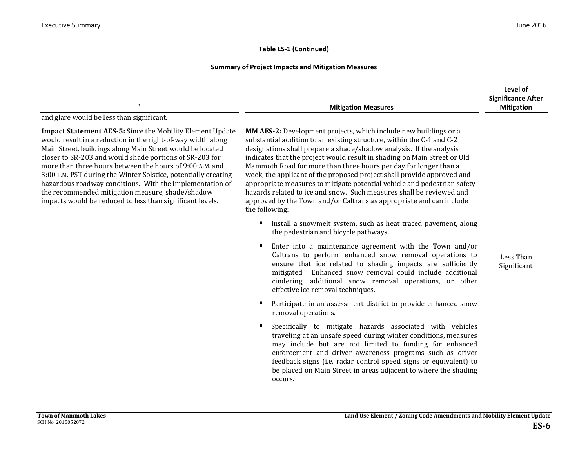Less Than Significant

#### **Table ES-1 (Continued)**

#### **Summary of Project Impacts and Mitigation Measures**

|                            | <b>Significance After</b> |
|----------------------------|---------------------------|
| <b>Mitigation Measures</b> | <b>Mitigation</b>         |

and glare would be less than significant.

**Impact Statement AES-5:** Since the Mobility Element Update would result in a reduction in the right-of-way width along Main Street, buildings along Main Street would be located closer to SR-203 and would shade portions of SR-203 for more than three hours between the hours of 9:00 A.M. and 3:00 P.M. PST during the Winter Solstice, potentially creating hazardous roadway conditions. With the implementation of the recommended mitigation measure, shade/shadow impacts would be reduced to less than significant levels.

**MM AES-2:** Development projects, which include new buildings or a substantial addition to an existing structure, within the C-1 and C-2 designations shall prepare a shade/shadow analysis. If the analysis indicates that the project would result in shading on Main Street or Old Mammoth Road for more than three hours per day for longer than a week, the applicant of the proposed project shall provide approved and appropriate measures to mitigate potential vehicle and pedestrian safety hazards related to ice and snow. Such measures shall be reviewed and approved by the Town and/or Caltrans as appropriate and can include the following:

- Install a snowmelt system, such as heat traced pavement, along the pedestrian and bicycle pathways.
- Enter into a maintenance agreement with the Town and/or Caltrans to perform enhanced snow removal operations to ensure that ice related to shading impacts are sufficiently mitigated. Enhanced snow removal could include additional cindering, additional snow removal operations, or other effective ice removal techniques.
- Participate in an assessment district to provide enhanced snow removal operations.
- Specifically to mitigate hazards associated with vehicles traveling at an unsafe speed during winter conditions, measures may include but are not limited to funding for enhanced enforcement and driver awareness programs such as driver feedback signs (i.e. radar control speed signs or equivalent) to be placed on Main Street in areas adjacent to where the shading occurs.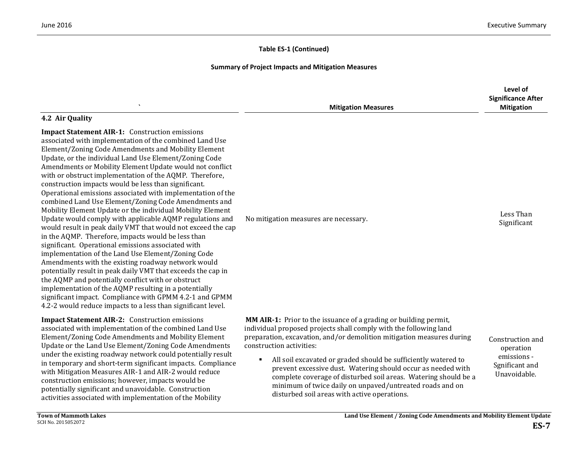#### **Summary of Project Impacts and Mitigation Measures**

|                                                                                                                                                                                                                                                                                                                                                                                                                                                                                                                                                                                                                                                                                                                                                                                                                                                                                                                                                                                                                                              | <b>Mitigation Measures</b>                                                                                                                                                                                                                                                                                                                                                                                                                                                                                                                                                    | Level of<br><b>Significance After</b><br><b>Mitigation</b>                     |
|----------------------------------------------------------------------------------------------------------------------------------------------------------------------------------------------------------------------------------------------------------------------------------------------------------------------------------------------------------------------------------------------------------------------------------------------------------------------------------------------------------------------------------------------------------------------------------------------------------------------------------------------------------------------------------------------------------------------------------------------------------------------------------------------------------------------------------------------------------------------------------------------------------------------------------------------------------------------------------------------------------------------------------------------|-------------------------------------------------------------------------------------------------------------------------------------------------------------------------------------------------------------------------------------------------------------------------------------------------------------------------------------------------------------------------------------------------------------------------------------------------------------------------------------------------------------------------------------------------------------------------------|--------------------------------------------------------------------------------|
| 4.2 Air Quality<br><b>Impact Statement AIR-1:</b> Construction emissions<br>associated with implementation of the combined Land Use<br>Element/Zoning Code Amendments and Mobility Element<br>Update, or the individual Land Use Element/Zoning Code<br>Amendments or Mobility Element Update would not conflict<br>with or obstruct implementation of the AQMP. Therefore,<br>construction impacts would be less than significant.<br>Operational emissions associated with implementation of the<br>combined Land Use Element/Zoning Code Amendments and<br>Mobility Element Update or the individual Mobility Element<br>Update would comply with applicable AQMP regulations and<br>would result in peak daily VMT that would not exceed the cap<br>in the AQMP. Therefore, impacts would be less than<br>significant. Operational emissions associated with<br>implementation of the Land Use Element/Zoning Code<br>Amendments with the existing roadway network would<br>potentially result in peak daily VMT that exceeds the cap in | No mitigation measures are necessary.                                                                                                                                                                                                                                                                                                                                                                                                                                                                                                                                         | Less Than<br>Significant                                                       |
| the AQMP and potentially conflict with or obstruct<br>implementation of the AQMP resulting in a potentially<br>significant impact. Compliance with GPMM 4.2-1 and GPMM<br>4.2-2 would reduce impacts to a less than significant level.                                                                                                                                                                                                                                                                                                                                                                                                                                                                                                                                                                                                                                                                                                                                                                                                       |                                                                                                                                                                                                                                                                                                                                                                                                                                                                                                                                                                               |                                                                                |
| <b>Impact Statement AIR-2:</b> Construction emissions<br>associated with implementation of the combined Land Use<br>Element/Zoning Code Amendments and Mobility Element<br>Update or the Land Use Element/Zoning Code Amendments<br>under the existing roadway network could potentially result<br>in temporary and short-term significant impacts. Compliance<br>with Mitigation Measures AIR-1 and AIR-2 would reduce<br>construction emissions; however, impacts would be<br>potentially significant and unavoidable. Construction<br>activities associated with implementation of the Mobility                                                                                                                                                                                                                                                                                                                                                                                                                                           | MM AIR-1: Prior to the issuance of a grading or building permit,<br>individual proposed projects shall comply with the following land<br>preparation, excavation, and/or demolition mitigation measures during<br>construction activities:<br>All soil excavated or graded should be sufficiently watered to<br>$\blacksquare$<br>prevent excessive dust. Watering should occur as needed with<br>complete coverage of disturbed soil areas. Watering should be a<br>minimum of twice daily on unpaved/untreated roads and on<br>disturbed soil areas with active operations. | Construction and<br>operation<br>emissions -<br>Sgnificant and<br>Unavoidable. |

activities associated with implementation of the Mobility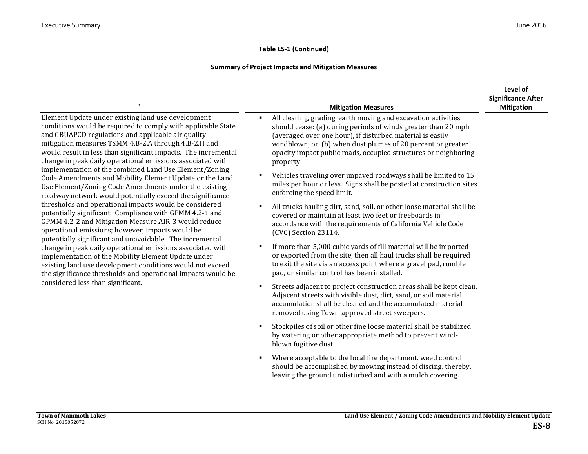|                                                                                                                                                                                                                                                                                                                                                                                                                                                                                                                                                                                                                                                                                                                                                                                                                                                                                                                                                                                                                                                                                                                                                                                                 | <b>Mitigation Measures</b>                                                                                                                                                                                                                                                                                                                      | Level of<br><b>Significance After</b><br><b>Mitigation</b> |
|-------------------------------------------------------------------------------------------------------------------------------------------------------------------------------------------------------------------------------------------------------------------------------------------------------------------------------------------------------------------------------------------------------------------------------------------------------------------------------------------------------------------------------------------------------------------------------------------------------------------------------------------------------------------------------------------------------------------------------------------------------------------------------------------------------------------------------------------------------------------------------------------------------------------------------------------------------------------------------------------------------------------------------------------------------------------------------------------------------------------------------------------------------------------------------------------------|-------------------------------------------------------------------------------------------------------------------------------------------------------------------------------------------------------------------------------------------------------------------------------------------------------------------------------------------------|------------------------------------------------------------|
| Element Update under existing land use development<br>conditions would be required to comply with applicable State<br>and GBUAPCD regulations and applicable air quality<br>mitigation measures TSMM 4.B-2.A through 4.B-2.H and<br>would result in less than significant impacts. The incremental<br>change in peak daily operational emissions associated with<br>implementation of the combined Land Use Element/Zoning<br>Code Amendments and Mobility Element Update or the Land<br>Use Element/Zoning Code Amendments under the existing<br>roadway network would potentially exceed the significance<br>thresholds and operational impacts would be considered<br>potentially significant. Compliance with GPMM 4.2-1 and<br>GPMM 4.2-2 and Mitigation Measure AIR-3 would reduce<br>operational emissions; however, impacts would be<br>potentially significant and unavoidable. The incremental<br>change in peak daily operational emissions associated with<br>implementation of the Mobility Element Update under<br>existing land use development conditions would not exceed<br>the significance thresholds and operational impacts would be<br>considered less than significant. | All clearing, grading, earth moving and excavation activities<br>٠<br>should cease: (a) during periods of winds greater than 20 mph<br>(averaged over one hour), if disturbed material is easily<br>windblown, or (b) when dust plumes of 20 percent or greater<br>opacity impact public roads, occupied structures or neighboring<br>property. |                                                            |
|                                                                                                                                                                                                                                                                                                                                                                                                                                                                                                                                                                                                                                                                                                                                                                                                                                                                                                                                                                                                                                                                                                                                                                                                 | Vehicles traveling over unpaved roadways shall be limited to 15<br>٠<br>miles per hour or less. Signs shall be posted at construction sites<br>enforcing the speed limit.                                                                                                                                                                       |                                                            |
|                                                                                                                                                                                                                                                                                                                                                                                                                                                                                                                                                                                                                                                                                                                                                                                                                                                                                                                                                                                                                                                                                                                                                                                                 | All trucks hauling dirt, sand, soil, or other loose material shall be<br>٠<br>covered or maintain at least two feet or freeboards in<br>accordance with the requirements of California Vehicle Code<br>(CVC) Section 23114.                                                                                                                     |                                                            |
|                                                                                                                                                                                                                                                                                                                                                                                                                                                                                                                                                                                                                                                                                                                                                                                                                                                                                                                                                                                                                                                                                                                                                                                                 | If more than 5,000 cubic yards of fill material will be imported<br>$\blacksquare$<br>or exported from the site, then all haul trucks shall be required<br>to exit the site via an access point where a gravel pad, rumble<br>pad, or similar control has been installed.                                                                       |                                                            |
|                                                                                                                                                                                                                                                                                                                                                                                                                                                                                                                                                                                                                                                                                                                                                                                                                                                                                                                                                                                                                                                                                                                                                                                                 | Streets adjacent to project construction areas shall be kept clean.<br>٠<br>Adjacent streets with visible dust, dirt, sand, or soil material<br>accumulation shall be cleaned and the accumulated material<br>removed using Town-approved street sweepers.                                                                                      |                                                            |
|                                                                                                                                                                                                                                                                                                                                                                                                                                                                                                                                                                                                                                                                                                                                                                                                                                                                                                                                                                                                                                                                                                                                                                                                 | Stockpiles of soil or other fine loose material shall be stabilized<br>٠<br>by watering or other appropriate method to prevent wind-<br>blown fugitive dust.                                                                                                                                                                                    |                                                            |
|                                                                                                                                                                                                                                                                                                                                                                                                                                                                                                                                                                                                                                                                                                                                                                                                                                                                                                                                                                                                                                                                                                                                                                                                 | Where acceptable to the local fire department, weed control<br>٠<br>should be accomplished by mowing instead of discing, thereby,<br>leaving the ground undisturbed and with a mulch covering.                                                                                                                                                  |                                                            |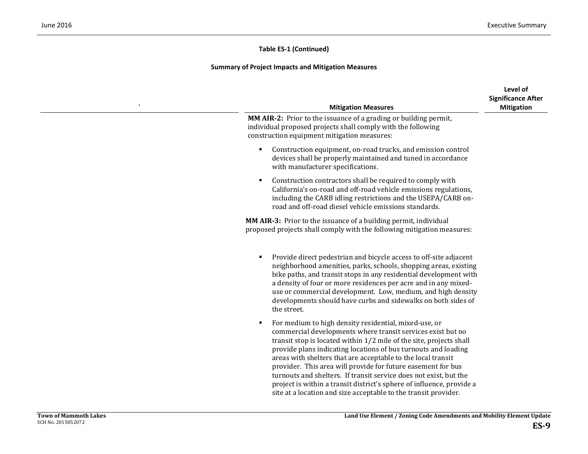| <b>Mitigation Measures</b>                                                                                                                                                                                                                                                                                                                                                                                                                                                                                                                                                                                          | Level of<br><b>Significance After</b><br><b>Mitigation</b> |
|---------------------------------------------------------------------------------------------------------------------------------------------------------------------------------------------------------------------------------------------------------------------------------------------------------------------------------------------------------------------------------------------------------------------------------------------------------------------------------------------------------------------------------------------------------------------------------------------------------------------|------------------------------------------------------------|
| <b>MM AIR-2:</b> Prior to the issuance of a grading or building permit,<br>individual proposed projects shall comply with the following<br>construction equipment mitigation measures:                                                                                                                                                                                                                                                                                                                                                                                                                              |                                                            |
| Construction equipment, on-road trucks, and emission control<br>devices shall be properly maintained and tuned in accordance<br>with manufacturer specifications.                                                                                                                                                                                                                                                                                                                                                                                                                                                   |                                                            |
| Construction contractors shall be required to comply with<br>٠<br>California's on-road and off-road vehicle emissions regulations,<br>including the CARB idling restrictions and the USEPA/CARB on-<br>road and off-road diesel vehicle emissions standards.                                                                                                                                                                                                                                                                                                                                                        |                                                            |
| MM AIR-3: Prior to the issuance of a building permit, individual<br>proposed projects shall comply with the following mitigation measures:                                                                                                                                                                                                                                                                                                                                                                                                                                                                          |                                                            |
| Provide direct pedestrian and bicycle access to off-site adjacent<br>neighborhood amenities, parks, schools, shopping areas, existing<br>bike paths, and transit stops in any residential development with<br>a density of four or more residences per acre and in any mixed-<br>use or commercial development. Low, medium, and high density<br>developments should have curbs and sidewalks on both sides of<br>the street.                                                                                                                                                                                       |                                                            |
| For medium to high density residential, mixed-use, or<br>٠<br>commercial developments where transit services exist but no<br>transit stop is located within 1/2 mile of the site, projects shall<br>provide plans indicating locations of bus turnouts and loading<br>areas with shelters that are acceptable to the local transit<br>provider. This area will provide for future easement for bus<br>turnouts and shelters. If transit service does not exist, but the<br>project is within a transit district's sphere of influence, provide a<br>site at a location and size acceptable to the transit provider. |                                                            |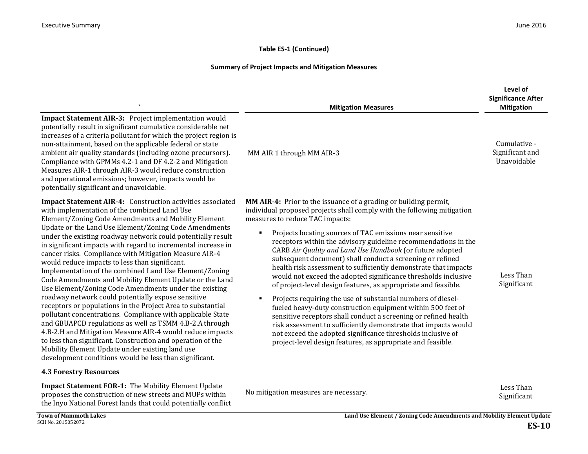## **Summary of Project Impacts and Mitigation Measures**

|                                                                                                                                                                                                                                                                                                                                                                                                                                                                                                                                                                                                                                                                                                                                                                                                                                                                                                                                                                                                                                                                                                                                                                              | <b>Mitigation Measures</b>                                                                                                                                                                                                                                                                                                                                                                                                                                                                                                                                                                                                                                                                                                                                                                                                                                                                                                                                                                                                                                                           | Level of<br><b>Significance After</b><br><b>Mitigation</b> |
|------------------------------------------------------------------------------------------------------------------------------------------------------------------------------------------------------------------------------------------------------------------------------------------------------------------------------------------------------------------------------------------------------------------------------------------------------------------------------------------------------------------------------------------------------------------------------------------------------------------------------------------------------------------------------------------------------------------------------------------------------------------------------------------------------------------------------------------------------------------------------------------------------------------------------------------------------------------------------------------------------------------------------------------------------------------------------------------------------------------------------------------------------------------------------|--------------------------------------------------------------------------------------------------------------------------------------------------------------------------------------------------------------------------------------------------------------------------------------------------------------------------------------------------------------------------------------------------------------------------------------------------------------------------------------------------------------------------------------------------------------------------------------------------------------------------------------------------------------------------------------------------------------------------------------------------------------------------------------------------------------------------------------------------------------------------------------------------------------------------------------------------------------------------------------------------------------------------------------------------------------------------------------|------------------------------------------------------------|
| Impact Statement AIR-3: Project implementation would<br>potentially result in significant cumulative considerable net<br>increases of a criteria pollutant for which the project region is<br>non-attainment, based on the applicable federal or state<br>ambient air quality standards (including ozone precursors).<br>Compliance with GPMMs 4.2-1 and DF 4.2-2 and Mitigation<br>Measures AIR-1 through AIR-3 would reduce construction<br>and operational emissions; however, impacts would be<br>potentially significant and unavoidable.                                                                                                                                                                                                                                                                                                                                                                                                                                                                                                                                                                                                                               | MM AIR 1 through MM AIR-3                                                                                                                                                                                                                                                                                                                                                                                                                                                                                                                                                                                                                                                                                                                                                                                                                                                                                                                                                                                                                                                            | Cumulative -<br>Significant and<br>Unavoidable             |
| Impact Statement AIR-4: Construction activities associated<br>with implementation of the combined Land Use<br>Element/Zoning Code Amendments and Mobility Element<br>Update or the Land Use Element/Zoning Code Amendments<br>under the existing roadway network could potentially result<br>in significant impacts with regard to incremental increase in<br>cancer risks. Compliance with Mitigation Measure AIR-4<br>would reduce impacts to less than significant.<br>Implementation of the combined Land Use Element/Zoning<br>Code Amendments and Mobility Element Update or the Land<br>Use Element/Zoning Code Amendments under the existing<br>roadway network could potentially expose sensitive<br>receptors or populations in the Project Area to substantial<br>pollutant concentrations. Compliance with applicable State<br>and GBUAPCD regulations as well as TSMM 4.B-2.A through<br>4.B-2.H and Mitigation Measure AIR-4 would reduce impacts<br>to less than significant. Construction and operation of the<br>Mobility Element Update under existing land use<br>development conditions would be less than significant.<br><b>4.3 Forestry Resources</b> | MM AIR-4: Prior to the issuance of a grading or building permit,<br>individual proposed projects shall comply with the following mitigation<br>measures to reduce TAC impacts:<br>Projects locating sources of TAC emissions near sensitive<br>$\blacksquare$<br>receptors within the advisory guideline recommendations in the<br>CARB Air Quality and Land Use Handbook (or future adopted<br>subsequent document) shall conduct a screening or refined<br>health risk assessment to sufficiently demonstrate that impacts<br>would not exceed the adopted significance thresholds inclusive<br>of project-level design features, as appropriate and feasible.<br>Projects requiring the use of substantial numbers of diesel-<br>$\blacksquare$<br>fueled heavy-duty construction equipment within 500 feet of<br>sensitive receptors shall conduct a screening or refined health<br>risk assessment to sufficiently demonstrate that impacts would<br>not exceed the adopted significance thresholds inclusive of<br>project-level design features, as appropriate and feasible. | Less Than<br>Significant                                   |
| Impact Statement FOR-1: The Mobility Element Update<br>proposes the construction of new streets and MUPs within<br>$\mathbf{M}$ and $\mathbf{M}$ and $\mathbf{M}$ and $\mathbf{M}$ and $\mathbf{M}$ and $\mathbf{M}$ and $\mathbf{M}$                                                                                                                                                                                                                                                                                                                                                                                                                                                                                                                                                                                                                                                                                                                                                                                                                                                                                                                                        | No mitigation measures are necessary.                                                                                                                                                                                                                                                                                                                                                                                                                                                                                                                                                                                                                                                                                                                                                                                                                                                                                                                                                                                                                                                | Less Than<br>Significant                                   |

the Inyo National Forest lands that could potentially conflict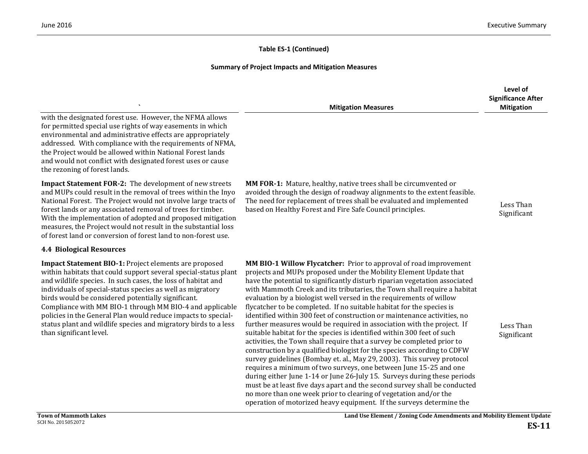|                                                                                                                                                                                                                                                                                                                                                                                                                                                                                                                                                | <b>Mitigation Measures</b>                                                                                                                                                                                                                                                                                                                                                                                                                                                                                                                                                                                                                                                                                                                                                                                                                                                                                                                                                                                                                                                                                                                                                                                                                                                                | Level of<br><b>Significance After</b><br><b>Mitigation</b> |
|------------------------------------------------------------------------------------------------------------------------------------------------------------------------------------------------------------------------------------------------------------------------------------------------------------------------------------------------------------------------------------------------------------------------------------------------------------------------------------------------------------------------------------------------|-------------------------------------------------------------------------------------------------------------------------------------------------------------------------------------------------------------------------------------------------------------------------------------------------------------------------------------------------------------------------------------------------------------------------------------------------------------------------------------------------------------------------------------------------------------------------------------------------------------------------------------------------------------------------------------------------------------------------------------------------------------------------------------------------------------------------------------------------------------------------------------------------------------------------------------------------------------------------------------------------------------------------------------------------------------------------------------------------------------------------------------------------------------------------------------------------------------------------------------------------------------------------------------------|------------------------------------------------------------|
| with the designated forest use. However, the NFMA allows<br>for permitted special use rights of way easements in which<br>environmental and administrative effects are appropriately<br>addressed. With compliance with the requirements of NFMA,<br>the Project would be allowed within National Forest lands<br>and would not conflict with designated forest uses or cause<br>the rezoning of forest lands.                                                                                                                                 |                                                                                                                                                                                                                                                                                                                                                                                                                                                                                                                                                                                                                                                                                                                                                                                                                                                                                                                                                                                                                                                                                                                                                                                                                                                                                           |                                                            |
| <b>Impact Statement FOR-2:</b> The development of new streets<br>and MUPs could result in the removal of trees within the Inyo<br>National Forest. The Project would not involve large tracts of<br>forest lands or any associated removal of trees for timber.<br>With the implementation of adopted and proposed mitigation<br>measures, the Project would not result in the substantial loss<br>of forest land or conversion of forest land to non-forest use.                                                                              | MM FOR-1: Mature, healthy, native trees shall be circumvented or<br>avoided through the design of roadway alignments to the extent feasible.<br>The need for replacement of trees shall be evaluated and implemented<br>based on Healthy Forest and Fire Safe Council principles.                                                                                                                                                                                                                                                                                                                                                                                                                                                                                                                                                                                                                                                                                                                                                                                                                                                                                                                                                                                                         | Less Than<br>Significant                                   |
| <b>4.4 Biological Resources</b>                                                                                                                                                                                                                                                                                                                                                                                                                                                                                                                |                                                                                                                                                                                                                                                                                                                                                                                                                                                                                                                                                                                                                                                                                                                                                                                                                                                                                                                                                                                                                                                                                                                                                                                                                                                                                           |                                                            |
| <b>Impact Statement BIO-1:</b> Project elements are proposed<br>within habitats that could support several special-status plant<br>and wildlife species. In such cases, the loss of habitat and<br>individuals of special-status species as well as migratory<br>birds would be considered potentially significant.<br>Compliance with MM BIO-1 through MM BIO-4 and applicable<br>policies in the General Plan would reduce impacts to special-<br>status plant and wildlife species and migratory birds to a less<br>than significant level. | MM BIO-1 Willow Flycatcher: Prior to approval of road improvement<br>projects and MUPs proposed under the Mobility Element Update that<br>have the potential to significantly disturb riparian vegetation associated<br>with Mammoth Creek and its tributaries, the Town shall require a habitat<br>evaluation by a biologist well versed in the requirements of willow<br>flycatcher to be completed. If no suitable habitat for the species is<br>identified within 300 feet of construction or maintenance activities, no<br>further measures would be required in association with the project. If<br>suitable habitat for the species is identified within 300 feet of such<br>activities, the Town shall require that a survey be completed prior to<br>construction by a qualified biologist for the species according to CDFW<br>survey guidelines (Bombay et. al., May 29, 2003). This survey protocol<br>requires a minimum of two surveys, one between June 15-25 and one<br>during either June 1-14 or June 26-July 15. Surveys during these periods<br>must be at least five days apart and the second survey shall be conducted<br>no more than one week prior to clearing of vegetation and/or the<br>operation of motorized heavy equipment. If the surveys determine the | Less Than<br>Significant                                   |
| <b>Town of Mammoth Lakes</b><br>SCH No. 2015052072                                                                                                                                                                                                                                                                                                                                                                                                                                                                                             | Land Use Element / Zoning Code Amendments and Mobility Element Update                                                                                                                                                                                                                                                                                                                                                                                                                                                                                                                                                                                                                                                                                                                                                                                                                                                                                                                                                                                                                                                                                                                                                                                                                     | DC 11                                                      |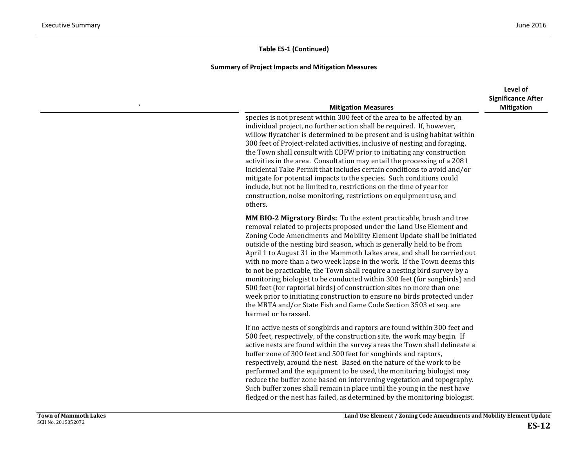| <b>Mitigation Measures</b>                                                                                                                                                                                                                                                                                                                                                                                                                                                                                                                                                                                                                                                                                                                                                                                                                                   | Level of<br><b>Significance After</b><br><b>Mitigation</b> |
|--------------------------------------------------------------------------------------------------------------------------------------------------------------------------------------------------------------------------------------------------------------------------------------------------------------------------------------------------------------------------------------------------------------------------------------------------------------------------------------------------------------------------------------------------------------------------------------------------------------------------------------------------------------------------------------------------------------------------------------------------------------------------------------------------------------------------------------------------------------|------------------------------------------------------------|
| species is not present within 300 feet of the area to be affected by an<br>individual project, no further action shall be required. If, however,<br>willow flycatcher is determined to be present and is using habitat within<br>300 feet of Project-related activities, inclusive of nesting and foraging,<br>the Town shall consult with CDFW prior to initiating any construction<br>activities in the area. Consultation may entail the processing of a 2081<br>Incidental Take Permit that includes certain conditions to avoid and/or<br>mitigate for potential impacts to the species. Such conditions could<br>include, but not be limited to, restrictions on the time of year for<br>construction, noise monitoring, restrictions on equipment use, and<br>others.                                                                                 |                                                            |
| MM BIO-2 Migratory Birds: To the extent practicable, brush and tree<br>removal related to projects proposed under the Land Use Element and<br>Zoning Code Amendments and Mobility Element Update shall be initiated<br>outside of the nesting bird season, which is generally held to be from<br>April 1 to August 31 in the Mammoth Lakes area, and shall be carried out<br>with no more than a two week lapse in the work. If the Town deems this<br>to not be practicable, the Town shall require a nesting bird survey by a<br>monitoring biologist to be conducted within 300 feet (for songbirds) and<br>500 feet (for raptorial birds) of construction sites no more than one<br>week prior to initiating construction to ensure no birds protected under<br>the MBTA and/or State Fish and Game Code Section 3503 et seq. are<br>harmed or harassed. |                                                            |
| If no active nests of songbirds and raptors are found within 300 feet and<br>500 feet, respectively, of the construction site, the work may begin. If<br>active nests are found within the survey areas the Town shall delineate a<br>buffer zone of 300 feet and 500 feet for songbirds and raptors,<br>respectively, around the nest. Based on the nature of the work to be<br>performed and the equipment to be used, the monitoring biologist may<br>reduce the buffer zone based on intervening vegetation and topography.<br>Such buffer zones shall remain in place until the young in the nest have<br>fledged or the nest has failed, as determined by the monitoring biologist.                                                                                                                                                                    |                                                            |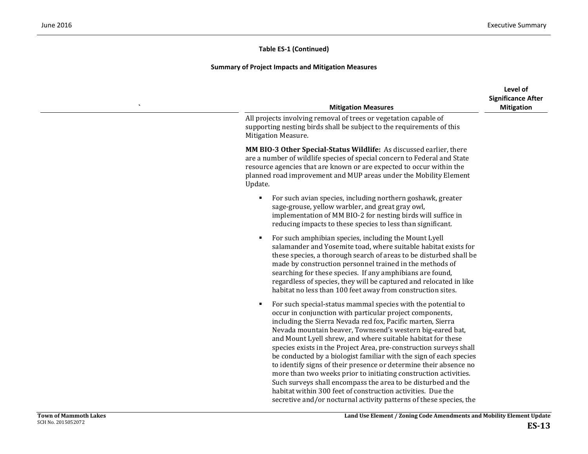| <b>Mitigation Measures</b>                                                                                                                                                                                                                                                                                                                                                                                                                                                                                                                                                                                                                                                                                                                                                                                          | Level of<br><b>Significance After</b><br><b>Mitigation</b> |
|---------------------------------------------------------------------------------------------------------------------------------------------------------------------------------------------------------------------------------------------------------------------------------------------------------------------------------------------------------------------------------------------------------------------------------------------------------------------------------------------------------------------------------------------------------------------------------------------------------------------------------------------------------------------------------------------------------------------------------------------------------------------------------------------------------------------|------------------------------------------------------------|
| All projects involving removal of trees or vegetation capable of<br>supporting nesting birds shall be subject to the requirements of this<br><b>Mitigation Measure.</b>                                                                                                                                                                                                                                                                                                                                                                                                                                                                                                                                                                                                                                             |                                                            |
| MM BIO-3 Other Special-Status Wildlife: As discussed earlier, there<br>are a number of wildlife species of special concern to Federal and State<br>resource agencies that are known or are expected to occur within the<br>planned road improvement and MUP areas under the Mobility Element<br>Update.                                                                                                                                                                                                                                                                                                                                                                                                                                                                                                             |                                                            |
| For such avian species, including northern goshawk, greater<br>$\blacksquare$<br>sage-grouse, yellow warbler, and great gray owl,<br>implementation of MM BIO-2 for nesting birds will suffice in<br>reducing impacts to these species to less than significant.                                                                                                                                                                                                                                                                                                                                                                                                                                                                                                                                                    |                                                            |
| For such amphibian species, including the Mount Lyell<br>Е<br>salamander and Yosemite toad, where suitable habitat exists for<br>these species, a thorough search of areas to be disturbed shall be<br>made by construction personnel trained in the methods of<br>searching for these species. If any amphibians are found,<br>regardless of species, they will be captured and relocated in like<br>habitat no less than 100 feet away from construction sites.                                                                                                                                                                                                                                                                                                                                                   |                                                            |
| For such special-status mammal species with the potential to<br>П<br>occur in conjunction with particular project components,<br>including the Sierra Nevada red fox, Pacific marten, Sierra<br>Nevada mountain beaver, Townsend's western big-eared bat,<br>and Mount Lyell shrew, and where suitable habitat for these<br>species exists in the Project Area, pre-construction surveys shall<br>be conducted by a biologist familiar with the sign of each species<br>to identify signs of their presence or determine their absence no<br>more than two weeks prior to initiating construction activities.<br>Such surveys shall encompass the area to be disturbed and the<br>habitat within 300 feet of construction activities. Due the<br>secretive and/or nocturnal activity patterns of these species, the |                                                            |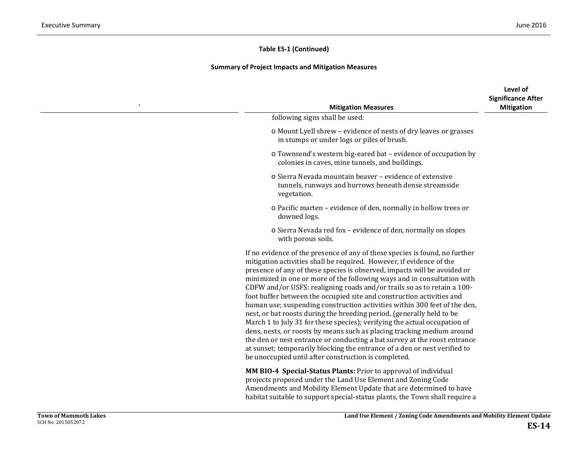#### **Summary of Project Impacts and Mitigation Measures**

| <b>Mitigation Measures</b>                                                                                                                                                                                                                                                                                                                                                                                                                                                                                                                                                                                                                                                                                                                                                                                                                                                                                                                                                                    | Level of<br><b>Significance After</b><br><b>Mitigation</b> |
|-----------------------------------------------------------------------------------------------------------------------------------------------------------------------------------------------------------------------------------------------------------------------------------------------------------------------------------------------------------------------------------------------------------------------------------------------------------------------------------------------------------------------------------------------------------------------------------------------------------------------------------------------------------------------------------------------------------------------------------------------------------------------------------------------------------------------------------------------------------------------------------------------------------------------------------------------------------------------------------------------|------------------------------------------------------------|
| following signs shall be used:                                                                                                                                                                                                                                                                                                                                                                                                                                                                                                                                                                                                                                                                                                                                                                                                                                                                                                                                                                |                                                            |
| o Mount Lyell shrew - evidence of nests of dry leaves or grasses<br>in stumps or under logs or piles of brush.                                                                                                                                                                                                                                                                                                                                                                                                                                                                                                                                                                                                                                                                                                                                                                                                                                                                                |                                                            |
| o Townsend's western big-eared bat - evidence of occupation by<br>colonies in caves, mine tunnels, and buildings.                                                                                                                                                                                                                                                                                                                                                                                                                                                                                                                                                                                                                                                                                                                                                                                                                                                                             |                                                            |
| o Sierra Nevada mountain beaver - evidence of extensive<br>tunnels, runways and burrows beneath dense streamside<br>vegetation.                                                                                                                                                                                                                                                                                                                                                                                                                                                                                                                                                                                                                                                                                                                                                                                                                                                               |                                                            |
| o Pacific marten - evidence of den, normally in hollow trees or<br>downed logs.                                                                                                                                                                                                                                                                                                                                                                                                                                                                                                                                                                                                                                                                                                                                                                                                                                                                                                               |                                                            |
| o Sierra Nevada red fox - evidence of den, normally on slopes<br>with porous soils.                                                                                                                                                                                                                                                                                                                                                                                                                                                                                                                                                                                                                                                                                                                                                                                                                                                                                                           |                                                            |
| If no evidence of the presence of any of these species is found, no further<br>mitigation activities shall be required. However, if evidence of the<br>presence of any of these species is observed, impacts will be avoided or<br>minimized in one or more of the following ways and in consultation with<br>CDFW and/or USFS: realigning roads and/or trails so as to retain a 100-<br>foot buffer between the occupied site and construction activities and<br>human use; suspending construction activities within 300 feet of the den,<br>nest, or bat roosts during the breeding period, (generally held to be<br>March 1 to July 31 for these species); verifying the actual occupation of<br>dens, nests, or roosts by means such as placing tracking medium around<br>the den or nest entrance or conducting a bat survey at the roost entrance<br>at sunset; temporarily blocking the entrance of a den or nest verified to<br>be unoccupied until after construction is completed. |                                                            |
| MM BIO-4 Special-Status Plants: Prior to approval of individual<br>projects proposed under the Land Use Element and Zoning Code<br>Amendments and Mobility Element Update that are determined to have                                                                                                                                                                                                                                                                                                                                                                                                                                                                                                                                                                                                                                                                                                                                                                                         |                                                            |

habitat suitable to support special-status plants, the Town shall require a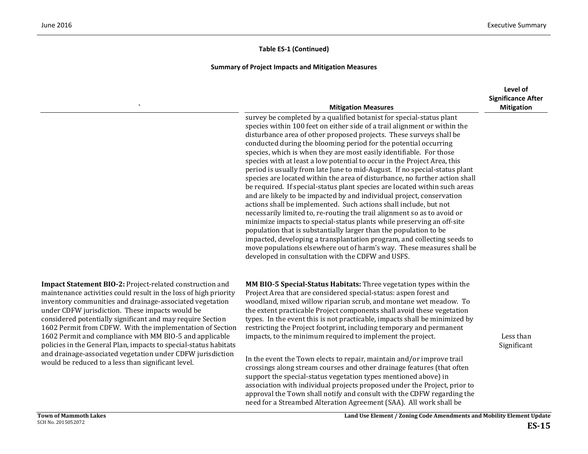#### **Summary of Project Impacts and Mitigation Measures**

|                                                                                                                                                                                                                                                                                                                                                                                                                                                                                                                                                                     | <b>Mitigation Measures</b>                                                                                                                                                                                                                                                                                                                                                                                                                                                                                                                                                                                                                                                                                                                                                                                                                                                                                                                                                                                                                                                                                                                                                                                                                                                   | Level of<br><b>Significance After</b><br><b>Mitigation</b> |
|---------------------------------------------------------------------------------------------------------------------------------------------------------------------------------------------------------------------------------------------------------------------------------------------------------------------------------------------------------------------------------------------------------------------------------------------------------------------------------------------------------------------------------------------------------------------|------------------------------------------------------------------------------------------------------------------------------------------------------------------------------------------------------------------------------------------------------------------------------------------------------------------------------------------------------------------------------------------------------------------------------------------------------------------------------------------------------------------------------------------------------------------------------------------------------------------------------------------------------------------------------------------------------------------------------------------------------------------------------------------------------------------------------------------------------------------------------------------------------------------------------------------------------------------------------------------------------------------------------------------------------------------------------------------------------------------------------------------------------------------------------------------------------------------------------------------------------------------------------|------------------------------------------------------------|
|                                                                                                                                                                                                                                                                                                                                                                                                                                                                                                                                                                     | survey be completed by a qualified botanist for special-status plant<br>species within 100 feet on either side of a trail alignment or within the<br>disturbance area of other proposed projects. These surveys shall be<br>conducted during the blooming period for the potential occurring<br>species, which is when they are most easily identifiable. For those<br>species with at least a low potential to occur in the Project Area, this<br>period is usually from late June to mid-August. If no special-status plant<br>species are located within the area of disturbance, no further action shall<br>be required. If special-status plant species are located within such areas<br>and are likely to be impacted by and individual project, conservation<br>actions shall be implemented. Such actions shall include, but not<br>necessarily limited to, re-routing the trail alignment so as to avoid or<br>minimize impacts to special-status plants while preserving an off-site<br>population that is substantially larger than the population to be<br>impacted, developing a transplantation program, and collecting seeds to<br>move populations elsewhere out of harm's way. These measures shall be<br>developed in consultation with the CDFW and USFS. |                                                            |
| Impact Statement BIO-2: Project-related construction and<br>maintenance activities could result in the loss of high priority<br>inventory communities and drainage-associated vegetation<br>under CDFW jurisdiction. These impacts would be<br>considered potentially significant and may require Section<br>1602 Permit from CDFW. With the implementation of Section<br>1602 Permit and compliance with MM BIO-5 and applicable<br>policies in the General Plan, impacts to special-status habitats<br>and drainage-associated vegetation under CDFW jurisdiction | MM BIO-5 Special-Status Habitats: Three vegetation types within the<br>Project Area that are considered special-status: aspen forest and<br>woodland, mixed willow riparian scrub, and montane wet meadow. To<br>the extent practicable Project components shall avoid these vegetation<br>types. In the event this is not practicable, impacts shall be minimized by<br>restricting the Project footprint, including temporary and permanent<br>impacts, to the minimum required to implement the project.<br>In the event the Town elects to repair, maintain and/or improve trail                                                                                                                                                                                                                                                                                                                                                                                                                                                                                                                                                                                                                                                                                         | Less than<br>Significant                                   |
| would be reduced to a less than significant level.                                                                                                                                                                                                                                                                                                                                                                                                                                                                                                                  | crossings along stream courses and other drainage features (that often<br>support the special-status vegetation types mentioned above) in<br>association with individual projects proposed under the Project, prior to                                                                                                                                                                                                                                                                                                                                                                                                                                                                                                                                                                                                                                                                                                                                                                                                                                                                                                                                                                                                                                                       |                                                            |

approval the Town shall notify and consult with the CDFW regarding the need for a Streambed Alteration Agreement (SAA). All work shall be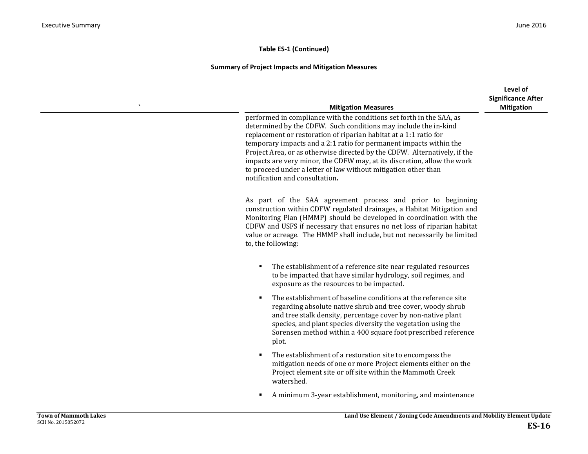| <b>Mitigation Measures</b>                                                                                                                                                                                                                                                                                                                                                                                                                                                                                                                     | Level of<br><b>Significance After</b><br><b>Mitigation</b> |
|------------------------------------------------------------------------------------------------------------------------------------------------------------------------------------------------------------------------------------------------------------------------------------------------------------------------------------------------------------------------------------------------------------------------------------------------------------------------------------------------------------------------------------------------|------------------------------------------------------------|
| performed in compliance with the conditions set forth in the SAA, as<br>determined by the CDFW. Such conditions may include the in-kind<br>replacement or restoration of riparian habitat at a 1:1 ratio for<br>temporary impacts and a 2:1 ratio for permanent impacts within the<br>Project Area, or as otherwise directed by the CDFW. Alternatively, if the<br>impacts are very minor, the CDFW may, at its discretion, allow the work<br>to proceed under a letter of law without mitigation other than<br>notification and consultation. |                                                            |
| As part of the SAA agreement process and prior to beginning<br>construction within CDFW regulated drainages, a Habitat Mitigation and<br>Monitoring Plan (HMMP) should be developed in coordination with the<br>CDFW and USFS if necessary that ensures no net loss of riparian habitat<br>value or acreage. The HMMP shall include, but not necessarily be limited<br>to, the following:                                                                                                                                                      |                                                            |
| The establishment of a reference site near regulated resources<br>to be impacted that have similar hydrology, soil regimes, and<br>exposure as the resources to be impacted.                                                                                                                                                                                                                                                                                                                                                                   |                                                            |
| The establishment of baseline conditions at the reference site<br>regarding absolute native shrub and tree cover, woody shrub<br>and tree stalk density, percentage cover by non-native plant<br>species, and plant species diversity the vegetation using the<br>Sorensen method within a 400 square foot prescribed reference<br>plot.                                                                                                                                                                                                       |                                                            |
| The establishment of a restoration site to encompass the<br>mitigation needs of one or more Project elements either on the<br>Project element site or off site within the Mammoth Creek<br>watershed.                                                                                                                                                                                                                                                                                                                                          |                                                            |
| A minimum 3-year establishment, monitoring, and maintenance                                                                                                                                                                                                                                                                                                                                                                                                                                                                                    |                                                            |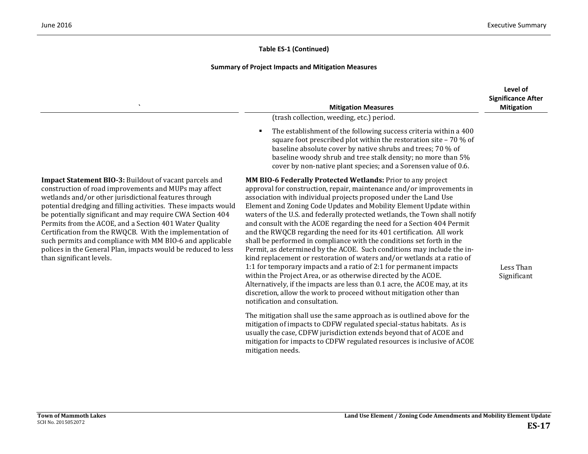| $\hat{\phantom{a}}$                                                                                                                                                                                                                                                                                                                                                                                                                                                                                                                                                                            | <b>Mitigation Measures</b>                                                                                                                                                                                                                                                                                                                                                                                                                                                                                                                                                                                                                                                                                                                                                                                                                                                                                                                                                                                                                                                 | Level of<br><b>Significance After</b><br><b>Mitigation</b> |
|------------------------------------------------------------------------------------------------------------------------------------------------------------------------------------------------------------------------------------------------------------------------------------------------------------------------------------------------------------------------------------------------------------------------------------------------------------------------------------------------------------------------------------------------------------------------------------------------|----------------------------------------------------------------------------------------------------------------------------------------------------------------------------------------------------------------------------------------------------------------------------------------------------------------------------------------------------------------------------------------------------------------------------------------------------------------------------------------------------------------------------------------------------------------------------------------------------------------------------------------------------------------------------------------------------------------------------------------------------------------------------------------------------------------------------------------------------------------------------------------------------------------------------------------------------------------------------------------------------------------------------------------------------------------------------|------------------------------------------------------------|
|                                                                                                                                                                                                                                                                                                                                                                                                                                                                                                                                                                                                | (trash collection, weeding, etc.) period.                                                                                                                                                                                                                                                                                                                                                                                                                                                                                                                                                                                                                                                                                                                                                                                                                                                                                                                                                                                                                                  |                                                            |
|                                                                                                                                                                                                                                                                                                                                                                                                                                                                                                                                                                                                | The establishment of the following success criteria within a 400<br>л<br>square foot prescribed plot within the restoration site - 70 % of<br>baseline absolute cover by native shrubs and trees; 70 % of<br>baseline woody shrub and tree stalk density; no more than 5%<br>cover by non-native plant species; and a Sorensen value of 0.6.                                                                                                                                                                                                                                                                                                                                                                                                                                                                                                                                                                                                                                                                                                                               |                                                            |
| <b>Impact Statement BIO-3: Buildout of vacant parcels and</b><br>construction of road improvements and MUPs may affect<br>wetlands and/or other jurisdictional features through<br>potential dredging and filling activities. These impacts would<br>be potentially significant and may require CWA Section 404<br>Permits from the ACOE, and a Section 401 Water Quality<br>Certification from the RWQCB. With the implementation of<br>such permits and compliance with MM BIO-6 and applicable<br>polices in the General Plan, impacts would be reduced to less<br>than significant levels. | MM BIO-6 Federally Protected Wetlands: Prior to any project<br>approval for construction, repair, maintenance and/or improvements in<br>association with individual projects proposed under the Land Use<br>Element and Zoning Code Updates and Mobility Element Update within<br>waters of the U.S. and federally protected wetlands, the Town shall notify<br>and consult with the ACOE regarding the need for a Section 404 Permit<br>and the RWQCB regarding the need for its 401 certification. All work<br>shall be performed in compliance with the conditions set forth in the<br>Permit, as determined by the ACOE. Such conditions may include the in-<br>kind replacement or restoration of waters and/or wetlands at a ratio of<br>1:1 for temporary impacts and a ratio of 2:1 for permanent impacts<br>within the Project Area, or as otherwise directed by the ACOE.<br>Alternatively, if the impacts are less than 0.1 acre, the ACOE may, at its<br>discretion, allow the work to proceed without mitigation other than<br>notification and consultation. | Less Than<br>Significant                                   |
|                                                                                                                                                                                                                                                                                                                                                                                                                                                                                                                                                                                                | The mitigation shall use the same approach as is outlined above for the<br>mitigation of impacts to CDFW regulated special-status habitats. As is<br>usually the case, CDFW jurisdiction extends beyond that of ACOE and<br>mitigation for impacts to CDFW regulated resources is inclusive of ACOE<br>mitigation needs.                                                                                                                                                                                                                                                                                                                                                                                                                                                                                                                                                                                                                                                                                                                                                   |                                                            |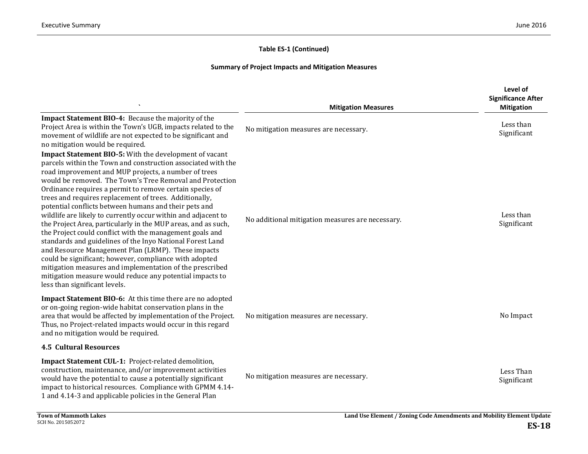|                                                                                                                                                                                                                                                                                                                                                                                                                                                                                                                                                                                                                                                                                                                                                                                                                                                                                                                                                               | <b>Mitigation Measures</b>                       | Level of<br><b>Significance After</b><br><b>Mitigation</b> |
|---------------------------------------------------------------------------------------------------------------------------------------------------------------------------------------------------------------------------------------------------------------------------------------------------------------------------------------------------------------------------------------------------------------------------------------------------------------------------------------------------------------------------------------------------------------------------------------------------------------------------------------------------------------------------------------------------------------------------------------------------------------------------------------------------------------------------------------------------------------------------------------------------------------------------------------------------------------|--------------------------------------------------|------------------------------------------------------------|
| Impact Statement BIO-4: Because the majority of the<br>Project Area is within the Town's UGB, impacts related to the<br>movement of wildlife are not expected to be significant and<br>no mitigation would be required.                                                                                                                                                                                                                                                                                                                                                                                                                                                                                                                                                                                                                                                                                                                                       | No mitigation measures are necessary.            | Less than<br>Significant                                   |
| Impact Statement BIO-5: With the development of vacant<br>parcels within the Town and construction associated with the<br>road improvement and MUP projects, a number of trees<br>would be removed. The Town's Tree Removal and Protection<br>Ordinance requires a permit to remove certain species of<br>trees and requires replacement of trees. Additionally,<br>potential conflicts between humans and their pets and<br>wildlife are likely to currently occur within and adjacent to<br>the Project Area, particularly in the MUP areas, and as such,<br>the Project could conflict with the management goals and<br>standards and guidelines of the Inyo National Forest Land<br>and Resource Management Plan (LRMP). These impacts<br>could be significant; however, compliance with adopted<br>mitigation measures and implementation of the prescribed<br>mitigation measure would reduce any potential impacts to<br>less than significant levels. | No additional mitigation measures are necessary. | Less than<br>Significant                                   |
| Impact Statement BIO-6: At this time there are no adopted<br>or on-going region-wide habitat conservation plans in the<br>area that would be affected by implementation of the Project.<br>Thus, no Project-related impacts would occur in this regard<br>and no mitigation would be required.                                                                                                                                                                                                                                                                                                                                                                                                                                                                                                                                                                                                                                                                | No mitigation measures are necessary.            | No Impact                                                  |
| <b>4.5 Cultural Resources</b>                                                                                                                                                                                                                                                                                                                                                                                                                                                                                                                                                                                                                                                                                                                                                                                                                                                                                                                                 |                                                  |                                                            |
| <b>Impact Statement CUL-1: Project-related demolition,</b><br>construction, maintenance, and/or improvement activities<br>would have the potential to cause a potentially significant<br>impact to historical resources. Compliance with GPMM 4.14-<br>1 and 4.14-3 and applicable policies in the General Plan                                                                                                                                                                                                                                                                                                                                                                                                                                                                                                                                                                                                                                               | No mitigation measures are necessary.            | Less Than<br>Significant                                   |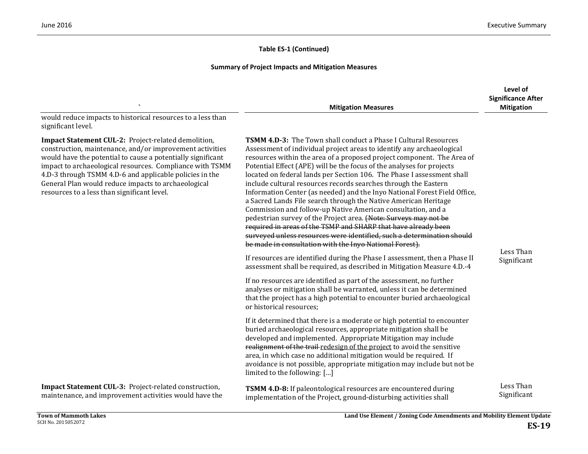|                                                                                                                                                                                                                                                                                                                                                                                                             | <b>Mitigation Measures</b>                                                                                                                                                                                                                                                                                                                                                                                                                                                                                                                                                                                                                                                                                                                                                                                                                                                                                                                                                                                                                                                                                                                                                                                                                                                                                                        | Level of<br><b>Significance After</b><br><b>Mitigation</b> |
|-------------------------------------------------------------------------------------------------------------------------------------------------------------------------------------------------------------------------------------------------------------------------------------------------------------------------------------------------------------------------------------------------------------|-----------------------------------------------------------------------------------------------------------------------------------------------------------------------------------------------------------------------------------------------------------------------------------------------------------------------------------------------------------------------------------------------------------------------------------------------------------------------------------------------------------------------------------------------------------------------------------------------------------------------------------------------------------------------------------------------------------------------------------------------------------------------------------------------------------------------------------------------------------------------------------------------------------------------------------------------------------------------------------------------------------------------------------------------------------------------------------------------------------------------------------------------------------------------------------------------------------------------------------------------------------------------------------------------------------------------------------|------------------------------------------------------------|
| would reduce impacts to historical resources to a less than<br>significant level.                                                                                                                                                                                                                                                                                                                           |                                                                                                                                                                                                                                                                                                                                                                                                                                                                                                                                                                                                                                                                                                                                                                                                                                                                                                                                                                                                                                                                                                                                                                                                                                                                                                                                   |                                                            |
| Impact Statement CUL-2: Project-related demolition,<br>construction, maintenance, and/or improvement activities<br>would have the potential to cause a potentially significant<br>impact to archaeological resources. Compliance with TSMM<br>4.D-3 through TSMM 4.D-6 and applicable policies in the<br>General Plan would reduce impacts to archaeological<br>resources to a less than significant level. | <b>TSMM 4.D-3:</b> The Town shall conduct a Phase I Cultural Resources<br>Assessment of individual project areas to identify any archaeological<br>resources within the area of a proposed project component. The Area of<br>Potential Effect (APE) will be the focus of the analyses for projects<br>located on federal lands per Section 106. The Phase I assessment shall<br>include cultural resources records searches through the Eastern<br>Information Center (as needed) and the Inyo National Forest Field Office,<br>a Sacred Lands File search through the Native American Heritage<br>Commission and follow-up Native American consultation, and a<br>pedestrian survey of the Project area. (Note: Surveys may not be<br>required in areas of the TSMP and SHARP that have already been<br>surveyed unless resources were identified, such a determination should<br>be made in consultation with the Inyo National Forest).<br>If resources are identified during the Phase I assessment, then a Phase II<br>assessment shall be required, as described in Mitigation Measure 4.D.-4<br>If no resources are identified as part of the assessment, no further<br>analyses or mitigation shall be warranted, unless it can be determined<br>that the project has a high potential to encounter buried archaeological | Less Than<br>Significant                                   |
|                                                                                                                                                                                                                                                                                                                                                                                                             | or historical resources;<br>If it determined that there is a moderate or high potential to encounter<br>buried archaeological resources, appropriate mitigation shall be<br>developed and implemented. Appropriate Mitigation may include<br>realignment of the trail redesign of the project to avoid the sensitive<br>area, in which case no additional mitigation would be required. If<br>avoidance is not possible, appropriate mitigation may include but not be<br>limited to the following: []                                                                                                                                                                                                                                                                                                                                                                                                                                                                                                                                                                                                                                                                                                                                                                                                                            |                                                            |
| Impact Statement CUL-3: Project-related construction,<br>maintenance, and improvement activities would have the                                                                                                                                                                                                                                                                                             | TSMM 4.D-8: If paleontological resources are encountered during<br>implementation of the Project, ground-disturbing activities shall                                                                                                                                                                                                                                                                                                                                                                                                                                                                                                                                                                                                                                                                                                                                                                                                                                                                                                                                                                                                                                                                                                                                                                                              | Less Than<br>Significant                                   |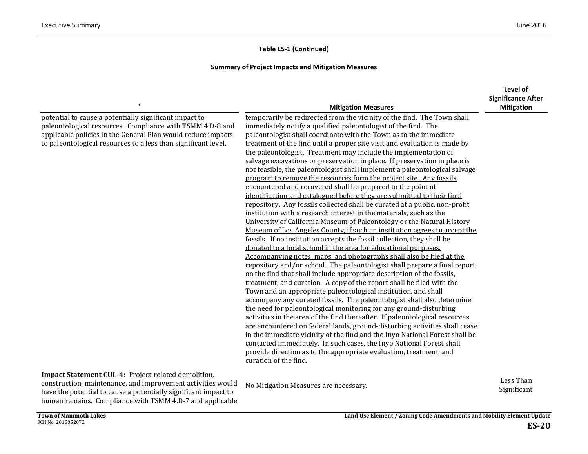#### **Summary of Project Impacts and Mitigation Measures**

|                                                                                                                                                                                                                                                       |                                                                                                                                                                                                                                                                                                                                                                                                                                                                                                                                                                                                                                                                                                                                                                                                                                                                                                                                                                                                                                                                                                                                                                                                                                                                                                                                                                                                                                                                                                                                                                                                                                                                                                                                                                                                                                                                                                                                                                                                                                                                                                                                                                             | Level of                      |
|-------------------------------------------------------------------------------------------------------------------------------------------------------------------------------------------------------------------------------------------------------|-----------------------------------------------------------------------------------------------------------------------------------------------------------------------------------------------------------------------------------------------------------------------------------------------------------------------------------------------------------------------------------------------------------------------------------------------------------------------------------------------------------------------------------------------------------------------------------------------------------------------------------------------------------------------------------------------------------------------------------------------------------------------------------------------------------------------------------------------------------------------------------------------------------------------------------------------------------------------------------------------------------------------------------------------------------------------------------------------------------------------------------------------------------------------------------------------------------------------------------------------------------------------------------------------------------------------------------------------------------------------------------------------------------------------------------------------------------------------------------------------------------------------------------------------------------------------------------------------------------------------------------------------------------------------------------------------------------------------------------------------------------------------------------------------------------------------------------------------------------------------------------------------------------------------------------------------------------------------------------------------------------------------------------------------------------------------------------------------------------------------------------------------------------------------------|-------------------------------|
|                                                                                                                                                                                                                                                       |                                                                                                                                                                                                                                                                                                                                                                                                                                                                                                                                                                                                                                                                                                                                                                                                                                                                                                                                                                                                                                                                                                                                                                                                                                                                                                                                                                                                                                                                                                                                                                                                                                                                                                                                                                                                                                                                                                                                                                                                                                                                                                                                                                             | <b>Significance After</b>     |
| potential to cause a potentially significant impact to<br>paleontological resources. Compliance with TSMM 4.D-8 and<br>applicable policies in the General Plan would reduce impacts<br>to paleontological resources to a less than significant level. | <b>Mitigation Measures</b><br>temporarily be redirected from the vicinity of the find. The Town shall<br>immediately notify a qualified paleontologist of the find. The<br>paleontologist shall coordinate with the Town as to the immediate<br>treatment of the find until a proper site visit and evaluation is made by<br>the paleontologist. Treatment may include the implementation of<br>salvage excavations or preservation in place. If preservation in place is<br>not feasible, the paleontologist shall implement a paleontological salvage<br>program to remove the resources form the project site. Any fossils<br>encountered and recovered shall be prepared to the point of<br>identification and catalogued before they are submitted to their final<br>repository. Any fossils collected shall be curated at a public, non-profit<br>institution with a research interest in the materials, such as the<br>University of California Museum of Paleontology or the Natural History<br>Museum of Los Angeles County, if such an institution agrees to accept the<br>fossils. If no institution accepts the fossil collection, they shall be<br>donated to a local school in the area for educational purposes.<br>Accompanying notes, maps, and photographs shall also be filed at the<br>repository and/or school. The paleontologist shall prepare a final report<br>on the find that shall include appropriate description of the fossils,<br>treatment, and curation. A copy of the report shall be filed with the<br>Town and an appropriate paleontological institution, and shall<br>accompany any curated fossils. The paleontologist shall also determine<br>the need for paleontological monitoring for any ground-disturbing<br>activities in the area of the find thereafter. If paleontological resources<br>are encountered on federal lands, ground-disturbing activities shall cease<br>in the immediate vicinity of the find and the Inyo National Forest shall be<br>contacted immediately. In such cases, the Inyo National Forest shall<br>provide direction as to the appropriate evaluation, treatment, and<br>curation of the find. | <b>Mitigation</b>             |
| Impact Statement CUL-4: Project-related demolition,<br>construction, maintenance, and improvement activities would                                                                                                                                    | No Mitigation Measures are necessary.                                                                                                                                                                                                                                                                                                                                                                                                                                                                                                                                                                                                                                                                                                                                                                                                                                                                                                                                                                                                                                                                                                                                                                                                                                                                                                                                                                                                                                                                                                                                                                                                                                                                                                                                                                                                                                                                                                                                                                                                                                                                                                                                       | Less Than<br>$Cianification+$ |

construction, maintenance, and improvement activities would have the potential to cause a potentially significant impact to human remains. Compliance with TSMM 4.D-7 and applicable Significant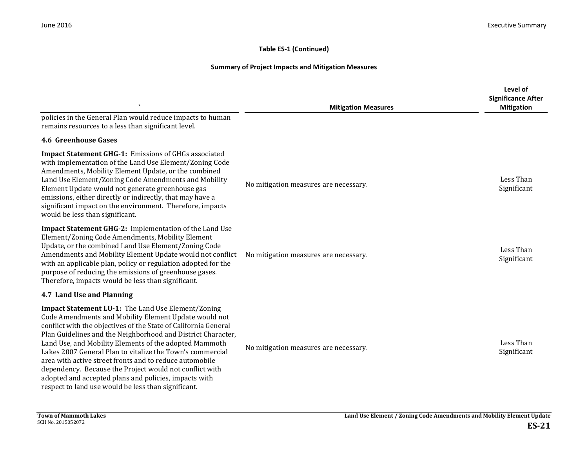|                                                                                                                                                                                                                                                                                                                                                                                                                                                                                                                                                                                                             | <b>Mitigation Measures</b>            | Level of<br><b>Significance After</b><br><b>Mitigation</b> |
|-------------------------------------------------------------------------------------------------------------------------------------------------------------------------------------------------------------------------------------------------------------------------------------------------------------------------------------------------------------------------------------------------------------------------------------------------------------------------------------------------------------------------------------------------------------------------------------------------------------|---------------------------------------|------------------------------------------------------------|
| policies in the General Plan would reduce impacts to human<br>remains resources to a less than significant level.                                                                                                                                                                                                                                                                                                                                                                                                                                                                                           |                                       |                                                            |
| <b>4.6 Greenhouse Gases</b>                                                                                                                                                                                                                                                                                                                                                                                                                                                                                                                                                                                 |                                       |                                                            |
| <b>Impact Statement GHG-1: Emissions of GHGs associated</b><br>with implementation of the Land Use Element/Zoning Code<br>Amendments, Mobility Element Update, or the combined<br>Land Use Element/Zoning Code Amendments and Mobility<br>Element Update would not generate greenhouse gas<br>emissions, either directly or indirectly, that may have a<br>significant impact on the environment. Therefore, impacts<br>would be less than significant.                                                                                                                                                     | No mitigation measures are necessary. | Less Than<br>Significant                                   |
| Impact Statement GHG-2: Implementation of the Land Use<br>Element/Zoning Code Amendments, Mobility Element<br>Update, or the combined Land Use Element/Zoning Code<br>Amendments and Mobility Element Update would not conflict<br>with an applicable plan, policy or regulation adopted for the<br>purpose of reducing the emissions of greenhouse gases.<br>Therefore, impacts would be less than significant.                                                                                                                                                                                            | No mitigation measures are necessary. | Less Than<br>Significant                                   |
| 4.7 Land Use and Planning                                                                                                                                                                                                                                                                                                                                                                                                                                                                                                                                                                                   |                                       |                                                            |
| Impact Statement LU-1: The Land Use Element/Zoning<br>Code Amendments and Mobility Element Update would not<br>conflict with the objectives of the State of California General<br>Plan Guidelines and the Neighborhood and District Character,<br>Land Use, and Mobility Elements of the adopted Mammoth<br>Lakes 2007 General Plan to vitalize the Town's commercial<br>area with active street fronts and to reduce automobile<br>dependency. Because the Project would not conflict with<br>adopted and accepted plans and policies, impacts with<br>respect to land use would be less than significant. | No mitigation measures are necessary. | Less Than<br>Significant                                   |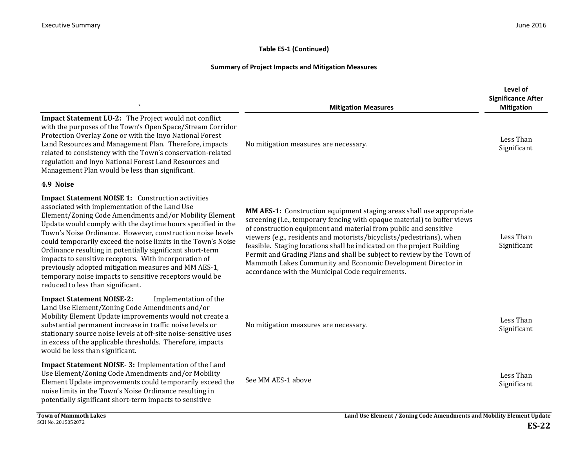|                                                                                                                                                                                                                                                                                                                                                                                                                                                                                                                                                                                                                                                  | <b>Mitigation Measures</b>                                                                                                                                                                                                                                                                                                                                                                                                                                                                                                                                           | Level of<br><b>Significance After</b><br><b>Mitigation</b> |
|--------------------------------------------------------------------------------------------------------------------------------------------------------------------------------------------------------------------------------------------------------------------------------------------------------------------------------------------------------------------------------------------------------------------------------------------------------------------------------------------------------------------------------------------------------------------------------------------------------------------------------------------------|----------------------------------------------------------------------------------------------------------------------------------------------------------------------------------------------------------------------------------------------------------------------------------------------------------------------------------------------------------------------------------------------------------------------------------------------------------------------------------------------------------------------------------------------------------------------|------------------------------------------------------------|
| Impact Statement LU-2: The Project would not conflict<br>with the purposes of the Town's Open Space/Stream Corridor<br>Protection Overlay Zone or with the Inyo National Forest<br>Land Resources and Management Plan. Therefore, impacts<br>related to consistency with the Town's conservation-related<br>regulation and Inyo National Forest Land Resources and<br>Management Plan would be less than significant.                                                                                                                                                                                                                            | No mitigation measures are necessary.                                                                                                                                                                                                                                                                                                                                                                                                                                                                                                                                | Less Than<br>Significant                                   |
| 4.9 Noise                                                                                                                                                                                                                                                                                                                                                                                                                                                                                                                                                                                                                                        |                                                                                                                                                                                                                                                                                                                                                                                                                                                                                                                                                                      |                                                            |
| <b>Impact Statement NOISE 1:</b> Construction activities<br>associated with implementation of the Land Use<br>Element/Zoning Code Amendments and/or Mobility Element<br>Update would comply with the daytime hours specified in the<br>Town's Noise Ordinance. However, construction noise levels<br>could temporarily exceed the noise limits in the Town's Noise<br>Ordinance resulting in potentially significant short-term<br>impacts to sensitive receptors. With incorporation of<br>previously adopted mitigation measures and MM AES-1,<br>temporary noise impacts to sensitive receptors would be<br>reduced to less than significant. | MM AES-1: Construction equipment staging areas shall use appropriate<br>screening (i.e., temporary fencing with opaque material) to buffer views<br>of construction equipment and material from public and sensitive<br>viewers (e.g., residents and motorists/bicyclists/pedestrians), when<br>feasible. Staging locations shall be indicated on the project Building<br>Permit and Grading Plans and shall be subject to review by the Town of<br>Mammoth Lakes Community and Economic Development Director in<br>accordance with the Municipal Code requirements. | Less Than<br>Significant                                   |
| <b>Impact Statement NOISE-2:</b><br>Implementation of the<br>Land Use Element/Zoning Code Amendments and/or<br>Mobility Element Update improvements would not create a<br>substantial permanent increase in traffic noise levels or<br>stationary source noise levels at off-site noise-sensitive uses<br>in excess of the applicable thresholds. Therefore, impacts<br>would be less than significant.                                                                                                                                                                                                                                          | No mitigation measures are necessary.                                                                                                                                                                                                                                                                                                                                                                                                                                                                                                                                | Less Than<br>Significant                                   |
| Impact Statement NOISE-3: Implementation of the Land<br>Use Element/Zoning Code Amendments and/or Mobility<br>Element Update improvements could temporarily exceed the<br>noise limits in the Town's Noise Ordinance resulting in<br>potentially significant short-term impacts to sensitive                                                                                                                                                                                                                                                                                                                                                     | See MM AES-1 above                                                                                                                                                                                                                                                                                                                                                                                                                                                                                                                                                   | Less Than<br>Significant                                   |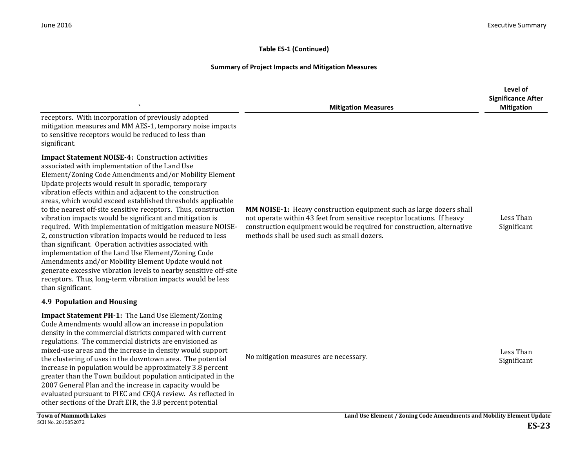|                                                                                                                                                                                                                                                                                                                                                                                                                                                                                                                                                                                                                                                                                                                                                                                                                                                                                                                                                  | <b>Mitigation Measures</b>                                                                                                                                                                                                                                             | Level of<br><b>Significance After</b><br><b>Mitigation</b> |
|--------------------------------------------------------------------------------------------------------------------------------------------------------------------------------------------------------------------------------------------------------------------------------------------------------------------------------------------------------------------------------------------------------------------------------------------------------------------------------------------------------------------------------------------------------------------------------------------------------------------------------------------------------------------------------------------------------------------------------------------------------------------------------------------------------------------------------------------------------------------------------------------------------------------------------------------------|------------------------------------------------------------------------------------------------------------------------------------------------------------------------------------------------------------------------------------------------------------------------|------------------------------------------------------------|
| receptors. With incorporation of previously adopted<br>mitigation measures and MM AES-1, temporary noise impacts<br>to sensitive receptors would be reduced to less than<br>significant.                                                                                                                                                                                                                                                                                                                                                                                                                                                                                                                                                                                                                                                                                                                                                         |                                                                                                                                                                                                                                                                        |                                                            |
| <b>Impact Statement NOISE-4: Construction activities</b><br>associated with implementation of the Land Use<br>Element/Zoning Code Amendments and/or Mobility Element<br>Update projects would result in sporadic, temporary<br>vibration effects within and adjacent to the construction<br>areas, which would exceed established thresholds applicable<br>to the nearest off-site sensitive receptors. Thus, construction<br>vibration impacts would be significant and mitigation is<br>required. With implementation of mitigation measure NOISE-<br>2, construction vibration impacts would be reduced to less<br>than significant. Operation activities associated with<br>implementation of the Land Use Element/Zoning Code<br>Amendments and/or Mobility Element Update would not<br>generate excessive vibration levels to nearby sensitive off-site<br>receptors. Thus, long-term vibration impacts would be less<br>than significant. | MM NOISE-1: Heavy construction equipment such as large dozers shall<br>not operate within 43 feet from sensitive receptor locations. If heavy<br>construction equipment would be required for construction, alternative<br>methods shall be used such as small dozers. | Less Than<br>Significant                                   |
| <b>4.9 Population and Housing</b>                                                                                                                                                                                                                                                                                                                                                                                                                                                                                                                                                                                                                                                                                                                                                                                                                                                                                                                |                                                                                                                                                                                                                                                                        |                                                            |
| Impact Statement PH-1: The Land Use Element/Zoning<br>Code Amendments would allow an increase in population<br>density in the commercial districts compared with current<br>regulations. The commercial districts are envisioned as<br>mixed-use areas and the increase in density would support<br>the clustering of uses in the downtown area. The potential<br>increase in population would be approximately 3.8 percent<br>greater than the Town buildout population anticipated in the<br>2007 General Plan and the increase in capacity would be<br>evaluated pursuant to PIEC and CEQA review. As reflected in<br>other sections of the Draft EIR, the 3.8 percent potential                                                                                                                                                                                                                                                              | No mitigation measures are necessary.                                                                                                                                                                                                                                  | Less Than<br>Significant                                   |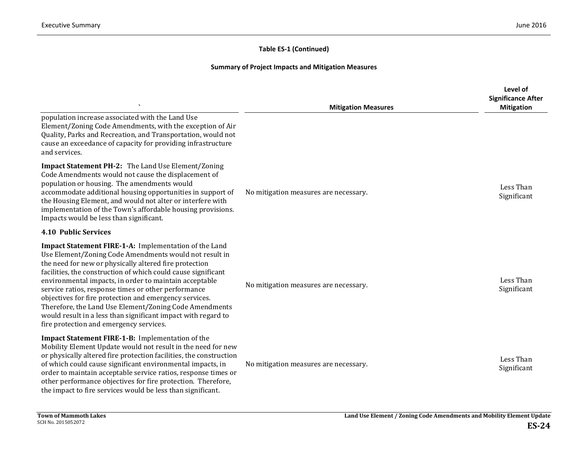|                                                                                                                                                                                                                                                                                                                                                                                                                                                                                                                                                                                             | <b>Mitigation Measures</b>            | Level of<br><b>Significance After</b><br><b>Mitigation</b> |
|---------------------------------------------------------------------------------------------------------------------------------------------------------------------------------------------------------------------------------------------------------------------------------------------------------------------------------------------------------------------------------------------------------------------------------------------------------------------------------------------------------------------------------------------------------------------------------------------|---------------------------------------|------------------------------------------------------------|
| population increase associated with the Land Use<br>Element/Zoning Code Amendments, with the exception of Air<br>Quality, Parks and Recreation, and Transportation, would not<br>cause an exceedance of capacity for providing infrastructure<br>and services.                                                                                                                                                                                                                                                                                                                              |                                       |                                                            |
| Impact Statement PH-2: The Land Use Element/Zoning<br>Code Amendments would not cause the displacement of<br>population or housing. The amendments would<br>accommodate additional housing opportunities in support of<br>the Housing Element, and would not alter or interfere with<br>implementation of the Town's affordable housing provisions.<br>Impacts would be less than significant.                                                                                                                                                                                              | No mitigation measures are necessary. | Less Than<br>Significant                                   |
| <b>4.10 Public Services</b>                                                                                                                                                                                                                                                                                                                                                                                                                                                                                                                                                                 |                                       |                                                            |
| Impact Statement FIRE-1-A: Implementation of the Land<br>Use Element/Zoning Code Amendments would not result in<br>the need for new or physically altered fire protection<br>facilities, the construction of which could cause significant<br>environmental impacts, in order to maintain acceptable<br>service ratios, response times or other performance<br>objectives for fire protection and emergency services.<br>Therefore, the Land Use Element/Zoning Code Amendments<br>would result in a less than significant impact with regard to<br>fire protection and emergency services. | No mitigation measures are necessary. | Less Than<br>Significant                                   |
| <b>Impact Statement FIRE-1-B: Implementation of the</b><br>Mobility Element Update would not result in the need for new<br>or physically altered fire protection facilities, the construction<br>of which could cause significant environmental impacts, in<br>order to maintain acceptable service ratios, response times or<br>other performance objectives for fire protection. Therefore,<br>the impact to fire services would be less than significant.                                                                                                                                | No mitigation measures are necessary. | Less Than<br>Significant                                   |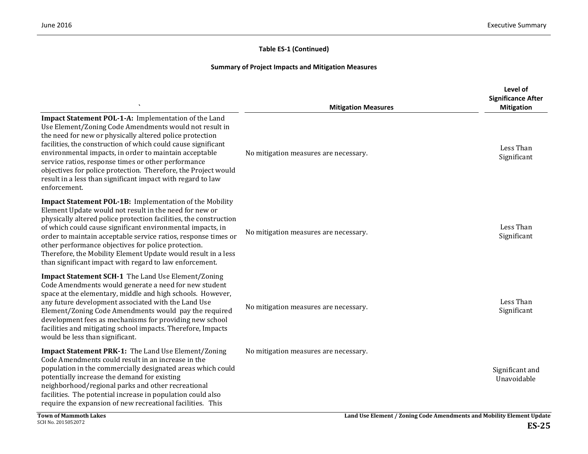|                                                                                                                                                                                                                                                                                                                                                                                                                                                                                                               | <b>Mitigation Measures</b>            | Level of<br><b>Significance After</b><br><b>Mitigation</b> |
|---------------------------------------------------------------------------------------------------------------------------------------------------------------------------------------------------------------------------------------------------------------------------------------------------------------------------------------------------------------------------------------------------------------------------------------------------------------------------------------------------------------|---------------------------------------|------------------------------------------------------------|
| Impact Statement POL-1-A: Implementation of the Land<br>Use Element/Zoning Code Amendments would not result in<br>the need for new or physically altered police protection<br>facilities, the construction of which could cause significant<br>environmental impacts, in order to maintain acceptable<br>service ratios, response times or other performance<br>objectives for police protection. Therefore, the Project would<br>result in a less than significant impact with regard to law<br>enforcement. | No mitigation measures are necessary. | Less Than<br>Significant                                   |
| Impact Statement POL-1B: Implementation of the Mobility<br>Element Update would not result in the need for new or<br>physically altered police protection facilities, the construction<br>of which could cause significant environmental impacts, in<br>order to maintain acceptable service ratios, response times or<br>other performance objectives for police protection.<br>Therefore, the Mobility Element Update would result in a less<br>than significant impact with regard to law enforcement.     | No mitigation measures are necessary. | Less Than<br>Significant                                   |
| Impact Statement SCH-1 The Land Use Element/Zoning<br>Code Amendments would generate a need for new student<br>space at the elementary, middle and high schools. However,<br>any future development associated with the Land Use<br>Element/Zoning Code Amendments would pay the required<br>development fees as mechanisms for providing new school<br>facilities and mitigating school impacts. Therefore, Impacts<br>would be less than significant.                                                       | No mitigation measures are necessary. | Less Than<br>Significant                                   |
| <b>Impact Statement PRK-1:</b> The Land Use Element/Zoning<br>Code Amendments could result in an increase in the<br>population in the commercially designated areas which could<br>potentially increase the demand for existing<br>neighborhood/regional parks and other recreational<br>facilities. The potential increase in population could also<br>require the expansion of new recreational facilities. This                                                                                            | No mitigation measures are necessary. | Significant and<br>Unavoidable                             |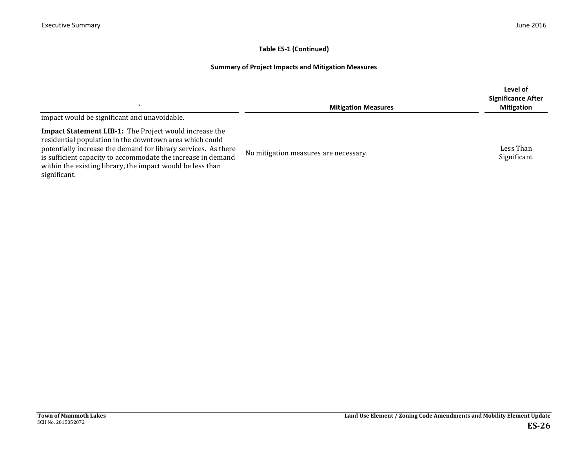|                                                                                                                                                                                                                                                                                                                                          | <b>Mitigation Measures</b>            | Level of<br><b>Significance After</b><br><b>Mitigation</b> |
|------------------------------------------------------------------------------------------------------------------------------------------------------------------------------------------------------------------------------------------------------------------------------------------------------------------------------------------|---------------------------------------|------------------------------------------------------------|
| impact would be significant and unavoidable.                                                                                                                                                                                                                                                                                             |                                       |                                                            |
| <b>Impact Statement LIB-1:</b> The Project would increase the<br>residential population in the downtown area which could<br>potentially increase the demand for library services. As there<br>is sufficient capacity to accommodate the increase in demand<br>within the existing library, the impact would be less than<br>significant. | No mitigation measures are necessary. | Less Than<br>Significant                                   |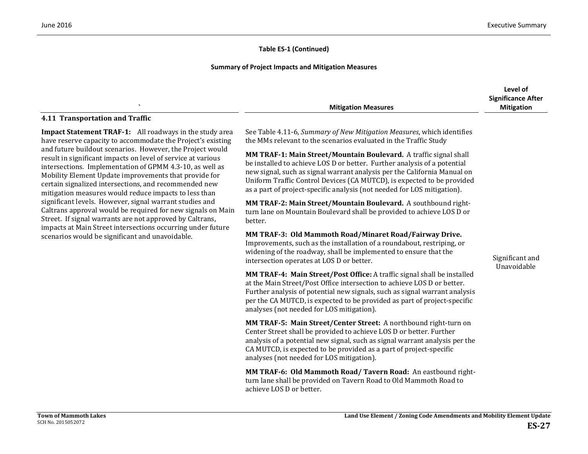#### **Summary of Project Impacts and Mitigation Measures**

|                            | Level of                  |
|----------------------------|---------------------------|
|                            | <b>Significance After</b> |
| <b>Mitigation Measures</b> | Mitigation                |

#### **4.11 Transportation and Traffic**

**Impact Statement TRAF-1:** All roadways in the study area have reserve capacity to accommodate the Project's existing and future buildout scenarios. However, the Project would result in significant impacts on level of service at various intersections. Implementation of GPMM 4.3-10, as well as Mobility Element Update improvements that provide for certain signalized intersections, and recommended new mitigation measures would reduce impacts to less than significant levels. However, signal warrant studies and Caltrans approval would be required for new signals on Main Street. If signal warrants are not approved by Caltrans, impacts at Main Street intersections occurring under future scenarios would be significant and unavoidable.

See Table 4.11-6, *Summary of New Mitigation Measures*, which identifies the MMs relevant to the scenarios evaluated in the Traffic Study

**MM TRAF-1: Main Street/Mountain Boulevard.** A traffic signal shall be installed to achieve LOS D or better. Further analysis of a potential new signal, such as signal warrant analysis per the California Manual on Uniform Traffic Control Devices (CA MUTCD), is expected to be provided as a part of project-specific analysis (not needed for LOS mitigation).

**MM TRAF-2: Main Street/Mountain Boulevard.** A southbound rightturn lane on Mountain Boulevard shall be provided to achieve LOS D or better.

**MM TRAF-3: Old Mammoth Road/Minaret Road/Fairway Drive.** 

Improvements, such as the installation of a roundabout, restriping, or widening of the roadway, shall be implemented to ensure that the intersection operates at LOS D or better.

**MM TRAF-4: Main Street/Post Office:** A traffic signal shall be installed at the Main Street/Post Office intersection to achieve LOS D or better. Further analysis of potential new signals, such as signal warrant analysis per the CA MUTCD, is expected to be provided as part of project-specific analyses (not needed for LOS mitigation).

**MM TRAF-5: Main Street/Center Street:** A northbound right-turn on Center Street shall be provided to achieve LOS D or better. Further analysis of a potential new signal, such as signal warrant analysis per the CA MUTCD, is expected to be provided as a part of project-specific analyses (not needed for LOS mitigation).

**MM TRAF-6: Old Mammoth Road/ Tavern Road:** An eastbound rightturn lane shall be provided on Tavern Road to Old Mammoth Road to achieve LOS D or better.

Significant and Unavoidable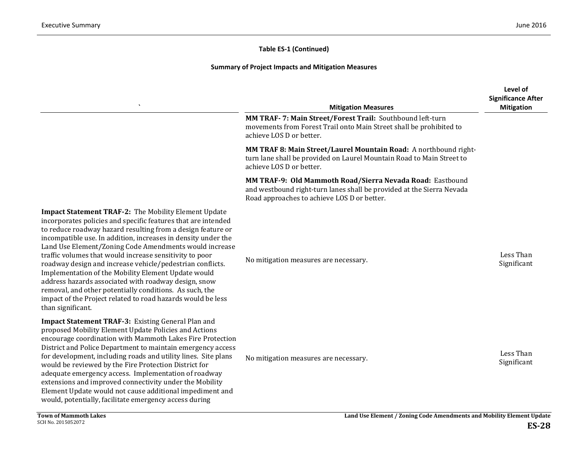|                                                                                                                                                                                                                                                                                                                                                                                                                                                                                                                                                                                                                                                                                                              | <b>Mitigation Measures</b>                                                                                                                                                        | Level of<br><b>Significance After</b><br><b>Mitigation</b> |
|--------------------------------------------------------------------------------------------------------------------------------------------------------------------------------------------------------------------------------------------------------------------------------------------------------------------------------------------------------------------------------------------------------------------------------------------------------------------------------------------------------------------------------------------------------------------------------------------------------------------------------------------------------------------------------------------------------------|-----------------------------------------------------------------------------------------------------------------------------------------------------------------------------------|------------------------------------------------------------|
|                                                                                                                                                                                                                                                                                                                                                                                                                                                                                                                                                                                                                                                                                                              | MM TRAF- 7: Main Street/Forest Trail: Southbound left-turn<br>movements from Forest Trail onto Main Street shall be prohibited to<br>achieve LOS D or better.                     |                                                            |
|                                                                                                                                                                                                                                                                                                                                                                                                                                                                                                                                                                                                                                                                                                              | MM TRAF 8: Main Street/Laurel Mountain Road: A northbound right-<br>turn lane shall be provided on Laurel Mountain Road to Main Street to<br>achieve LOS D or better.             |                                                            |
|                                                                                                                                                                                                                                                                                                                                                                                                                                                                                                                                                                                                                                                                                                              | MM TRAF-9: Old Mammoth Road/Sierra Nevada Road: Eastbound<br>and westbound right-turn lanes shall be provided at the Sierra Nevada<br>Road approaches to achieve LOS D or better. |                                                            |
| <b>Impact Statement TRAF-2: The Mobility Element Update</b><br>incorporates policies and specific features that are intended<br>to reduce roadway hazard resulting from a design feature or<br>incompatible use. In addition, increases in density under the<br>Land Use Element/Zoning Code Amendments would increase<br>traffic volumes that would increase sensitivity to poor<br>roadway design and increase vehicle/pedestrian conflicts.<br>Implementation of the Mobility Element Update would<br>address hazards associated with roadway design, snow<br>removal, and other potentially conditions. As such, the<br>impact of the Project related to road hazards would be less<br>than significant. | No mitigation measures are necessary.                                                                                                                                             | Less Than<br>Significant                                   |
| Impact Statement TRAF-3: Existing General Plan and<br>proposed Mobility Element Update Policies and Actions<br>encourage coordination with Mammoth Lakes Fire Protection<br>District and Police Department to maintain emergency access<br>for development, including roads and utility lines. Site plans<br>would be reviewed by the Fire Protection District for<br>adequate emergency access. Implementation of roadway<br>extensions and improved connectivity under the Mobility<br>Element Update would not cause additional impediment and<br>would, potentially, facilitate emergency access during                                                                                                  | No mitigation measures are necessary.                                                                                                                                             | Less Than<br>Significant                                   |
| <b>Town of Mammoth Lakes</b>                                                                                                                                                                                                                                                                                                                                                                                                                                                                                                                                                                                                                                                                                 | Land Use Element / Zoning Code Amendments and Mobility Element Update                                                                                                             |                                                            |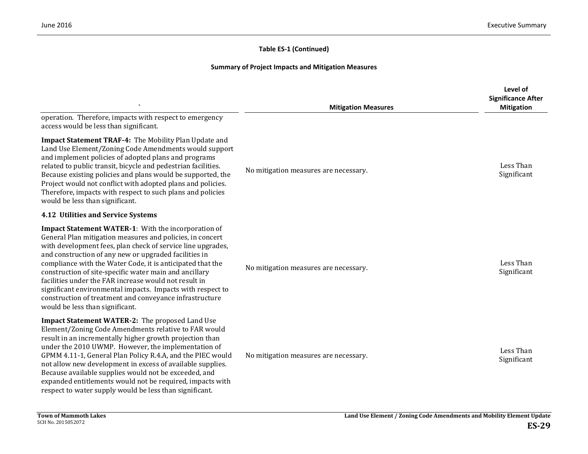|                                                                                                                                                                                                                                                                                                                                                                                                                                                                                                                                                                                       | <b>Mitigation Measures</b>            | Level of<br><b>Significance After</b><br><b>Mitigation</b> |
|---------------------------------------------------------------------------------------------------------------------------------------------------------------------------------------------------------------------------------------------------------------------------------------------------------------------------------------------------------------------------------------------------------------------------------------------------------------------------------------------------------------------------------------------------------------------------------------|---------------------------------------|------------------------------------------------------------|
| operation. Therefore, impacts with respect to emergency<br>access would be less than significant.                                                                                                                                                                                                                                                                                                                                                                                                                                                                                     |                                       |                                                            |
| <b>Impact Statement TRAF-4: The Mobility Plan Update and</b><br>Land Use Element/Zoning Code Amendments would support<br>and implement policies of adopted plans and programs<br>related to public transit, bicycle and pedestrian facilities.<br>Because existing policies and plans would be supported, the<br>Project would not conflict with adopted plans and policies.<br>Therefore, impacts with respect to such plans and policies<br>would be less than significant.                                                                                                         | No mitigation measures are necessary. | Less Than<br>Significant                                   |
| 4.12 Utilities and Service Systems                                                                                                                                                                                                                                                                                                                                                                                                                                                                                                                                                    |                                       |                                                            |
| Impact Statement WATER-1: With the incorporation of<br>General Plan mitigation measures and policies, in concert<br>with development fees, plan check of service line upgrades,<br>and construction of any new or upgraded facilities in<br>compliance with the Water Code, it is anticipated that the<br>construction of site-specific water main and ancillary<br>facilities under the FAR increase would not result in<br>significant environmental impacts. Impacts with respect to<br>construction of treatment and conveyance infrastructure<br>would be less than significant. | No mitigation measures are necessary. | Less Than<br>Significant                                   |
| Impact Statement WATER-2: The proposed Land Use<br>Element/Zoning Code Amendments relative to FAR would<br>result in an incrementally higher growth projection than<br>under the 2010 UWMP. However, the implementation of<br>GPMM 4.11-1, General Plan Policy R.4.A, and the PIEC would<br>not allow new development in excess of available supplies.<br>Because available supplies would not be exceeded, and<br>expanded entitlements would not be required, impacts with<br>respect to water supply would be less than significant.                                               | No mitigation measures are necessary. | Less Than<br>Significant                                   |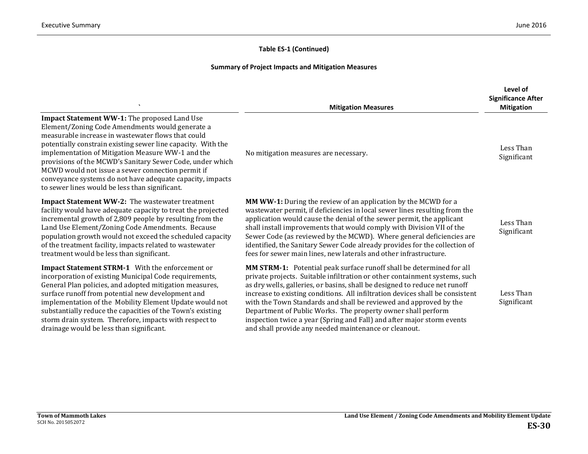|                                                                                                                                                                                                                                                                                                                                                                                                                                                                                                             | <b>Mitigation Measures</b>                                                                                                                                                                                                                                                                                                                                                                                                                                                                                                                                                                | Level of<br><b>Significance After</b><br><b>Mitigation</b> |
|-------------------------------------------------------------------------------------------------------------------------------------------------------------------------------------------------------------------------------------------------------------------------------------------------------------------------------------------------------------------------------------------------------------------------------------------------------------------------------------------------------------|-------------------------------------------------------------------------------------------------------------------------------------------------------------------------------------------------------------------------------------------------------------------------------------------------------------------------------------------------------------------------------------------------------------------------------------------------------------------------------------------------------------------------------------------------------------------------------------------|------------------------------------------------------------|
| Impact Statement WW-1: The proposed Land Use<br>Element/Zoning Code Amendments would generate a<br>measurable increase in wastewater flows that could<br>potentially constrain existing sewer line capacity. With the<br>implementation of Mitigation Measure WW-1 and the<br>provisions of the MCWD's Sanitary Sewer Code, under which<br>MCWD would not issue a sewer connection permit if<br>conveyance systems do not have adequate capacity, impacts<br>to sewer lines would be less than significant. | No mitigation measures are necessary.                                                                                                                                                                                                                                                                                                                                                                                                                                                                                                                                                     | Less Than<br>Significant                                   |
| <b>Impact Statement WW-2:</b> The wastewater treatment<br>facility would have adequate capacity to treat the projected<br>incremental growth of 2,809 people by resulting from the<br>Land Use Element/Zoning Code Amendments. Because<br>population growth would not exceed the scheduled capacity<br>of the treatment facility, impacts related to wastewater<br>treatment would be less than significant.                                                                                                | <b>MM WW-1:</b> During the review of an application by the MCWD for a<br>wastewater permit, if deficiencies in local sewer lines resulting from the<br>application would cause the denial of the sewer permit, the applicant<br>shall install improvements that would comply with Division VII of the<br>Sewer Code (as reviewed by the MCWD). Where general deficiencies are<br>identified, the Sanitary Sewer Code already provides for the collection of<br>fees for sewer main lines, new laterals and other infrastructure.                                                          | Less Than<br>Significant                                   |
| Impact Statement STRM-1 With the enforcement or<br>incorporation of existing Municipal Code requirements,<br>General Plan policies, and adopted mitigation measures,<br>surface runoff from potential new development and<br>implementation of the Mobility Element Update would not<br>substantially reduce the capacities of the Town's existing<br>storm drain system. Therefore, impacts with respect to<br>drainage would be less than significant.                                                    | MM STRM-1: Potential peak surface runoff shall be determined for all<br>private projects. Suitable infiltration or other containment systems, such<br>as dry wells, galleries, or basins, shall be designed to reduce net runoff<br>increase to existing conditions. All infiltration devices shall be consistent<br>with the Town Standards and shall be reviewed and approved by the<br>Department of Public Works. The property owner shall perform<br>inspection twice a year (Spring and Fall) and after major storm events<br>and shall provide any needed maintenance or cleanout. | Less Than<br>Significant                                   |
|                                                                                                                                                                                                                                                                                                                                                                                                                                                                                                             |                                                                                                                                                                                                                                                                                                                                                                                                                                                                                                                                                                                           |                                                            |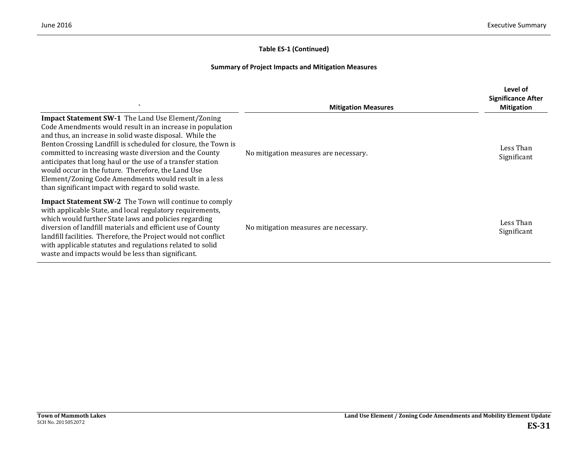| $\cdot$                                                                                                                                                                                                                                                                                                                                                                                                                                                                                                                                            | <b>Mitigation Measures</b>            | Level of<br><b>Significance After</b><br><b>Mitigation</b> |
|----------------------------------------------------------------------------------------------------------------------------------------------------------------------------------------------------------------------------------------------------------------------------------------------------------------------------------------------------------------------------------------------------------------------------------------------------------------------------------------------------------------------------------------------------|---------------------------------------|------------------------------------------------------------|
| <b>Impact Statement SW-1</b> The Land Use Element/Zoning<br>Code Amendments would result in an increase in population<br>and thus, an increase in solid waste disposal. While the<br>Benton Crossing Landfill is scheduled for closure, the Town is<br>committed to increasing waste diversion and the County<br>anticipates that long haul or the use of a transfer station<br>would occur in the future. Therefore, the Land Use<br>Element/Zoning Code Amendments would result in a less<br>than significant impact with regard to solid waste. | No mitigation measures are necessary. | Less Than<br>Significant                                   |
| <b>Impact Statement SW-2</b> The Town will continue to comply<br>with applicable State, and local regulatory requirements,<br>which would further State laws and policies regarding<br>diversion of landfill materials and efficient use of County<br>landfill facilities. Therefore, the Project would not conflict<br>with applicable statutes and regulations related to solid<br>waste and impacts would be less than significant.                                                                                                             | No mitigation measures are necessary. | Less Than<br>Significant                                   |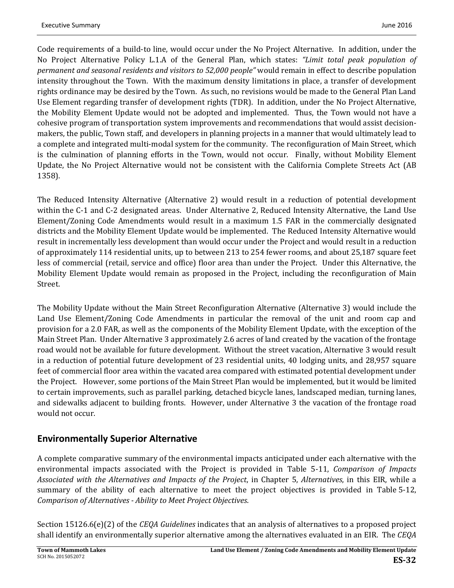Code requirements of a build-to line, would occur under the No Project Alternative. In addition, under the No Project Alternative Policy L.1.A of the General Plan, which states: *"Limit total peak population of permanent and seasonal residents and visitors to 52,000 people"* would remain in effect to describe population intensity throughout the Town. With the maximum density limitations in place, a transfer of development rights ordinance may be desired by the Town. As such, no revisions would be made to the General Plan Land Use Element regarding transfer of development rights (TDR). In addition, under the No Project Alternative, the Mobility Element Update would not be adopted and implemented. Thus, the Town would not have a cohesive program of transportation system improvements and recommendations that would assist decisionmakers, the public, Town staff, and developers in planning projects in a manner that would ultimately lead to a complete and integrated multi-modal system for the community. The reconfiguration of Main Street, which is the culmination of planning efforts in the Town, would not occur. Finally, without Mobility Element Update, the No Project Alternative would not be consistent with the California Complete Streets Act (AB 1358).

The Reduced Intensity Alternative (Alternative 2) would result in a reduction of potential development within the C-1 and C-2 designated areas. Under Alternative 2, Reduced Intensity Alternative, the Land Use Element/Zoning Code Amendments would result in a maximum 1.5 FAR in the commercially designated districts and the Mobility Element Update would be implemented. The Reduced Intensity Alternative would result in incrementally less development than would occur under the Project and would result in a reduction of approximately 114 residential units, up to between 213 to 254 fewer rooms, and about 25,187 square feet less of commercial (retail, service and office) floor area than under the Project. Under this Alternative, the Mobility Element Update would remain as proposed in the Project, including the reconfiguration of Main Street.

The Mobility Update without the Main Street Reconfiguration Alternative (Alternative 3) would include the Land Use Element/Zoning Code Amendments in particular the removal of the unit and room cap and provision for a 2.0 FAR, as well as the components of the Mobility Element Update, with the exception of the Main Street Plan. Under Alternative 3 approximately 2.6 acres of land created by the vacation of the frontage road would not be available for future development. Without the street vacation, Alternative 3 would result in a reduction of potential future development of 23 residential units, 40 lodging units, and 28,957 square feet of commercial floor area within the vacated area compared with estimated potential development under the Project. However, some portions of the Main Street Plan would be implemented, but it would be limited to certain improvements, such as parallel parking, detached bicycle lanes, landscaped median, turning lanes, and sidewalks adjacent to building fronts. However, under Alternative 3 the vacation of the frontage road would not occur.

# **Environmentally Superior Alternative**

A complete comparative summary of the environmental impacts anticipated under each alternative with the environmental impacts associated with the Project is provided in Table 5-11, *Comparison of Impacts Associated with the Alternatives and Impacts of the Project*, in Chapter 5, *Alternatives*, in this EIR, while a summary of the ability of each alternative to meet the project objectives is provided in Table 5-12, *Comparison of Alternatives - Ability to Meet Project Objectives*.

Section 15126.6(e)(2) of the *CEQA Guidelines* indicates that an analysis of alternatives to a proposed project shall identify an environmentally superior alternative among the alternatives evaluated in an EIR. The *CEQA*